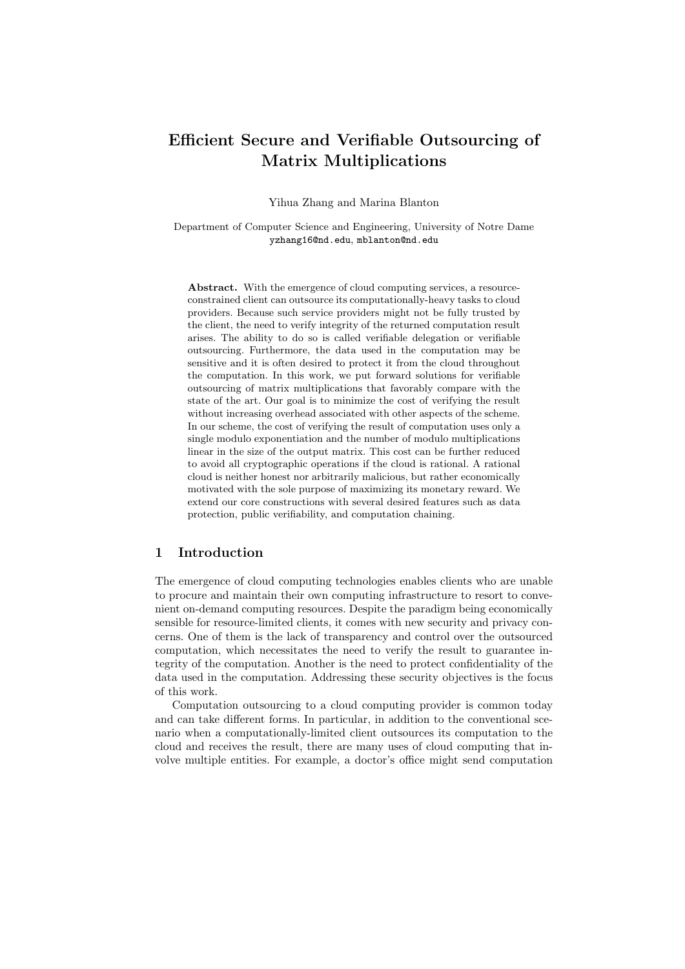# Efficient Secure and Verifiable Outsourcing of Matrix Multiplications

Yihua Zhang and Marina Blanton

Department of Computer Science and Engineering, University of Notre Dame yzhang16@nd.edu, mblanton@nd.edu

Abstract. With the emergence of cloud computing services, a resourceconstrained client can outsource its computationally-heavy tasks to cloud providers. Because such service providers might not be fully trusted by the client, the need to verify integrity of the returned computation result arises. The ability to do so is called verifiable delegation or verifiable outsourcing. Furthermore, the data used in the computation may be sensitive and it is often desired to protect it from the cloud throughout the computation. In this work, we put forward solutions for verifiable outsourcing of matrix multiplications that favorably compare with the state of the art. Our goal is to minimize the cost of verifying the result without increasing overhead associated with other aspects of the scheme. In our scheme, the cost of verifying the result of computation uses only a single modulo exponentiation and the number of modulo multiplications linear in the size of the output matrix. This cost can be further reduced to avoid all cryptographic operations if the cloud is rational. A rational cloud is neither honest nor arbitrarily malicious, but rather economically motivated with the sole purpose of maximizing its monetary reward. We extend our core constructions with several desired features such as data protection, public verifiability, and computation chaining.

# 1 Introduction

The emergence of cloud computing technologies enables clients who are unable to procure and maintain their own computing infrastructure to resort to convenient on-demand computing resources. Despite the paradigm being economically sensible for resource-limited clients, it comes with new security and privacy concerns. One of them is the lack of transparency and control over the outsourced computation, which necessitates the need to verify the result to guarantee integrity of the computation. Another is the need to protect confidentiality of the data used in the computation. Addressing these security objectives is the focus of this work.

Computation outsourcing to a cloud computing provider is common today and can take different forms. In particular, in addition to the conventional scenario when a computationally-limited client outsources its computation to the cloud and receives the result, there are many uses of cloud computing that involve multiple entities. For example, a doctor's office might send computation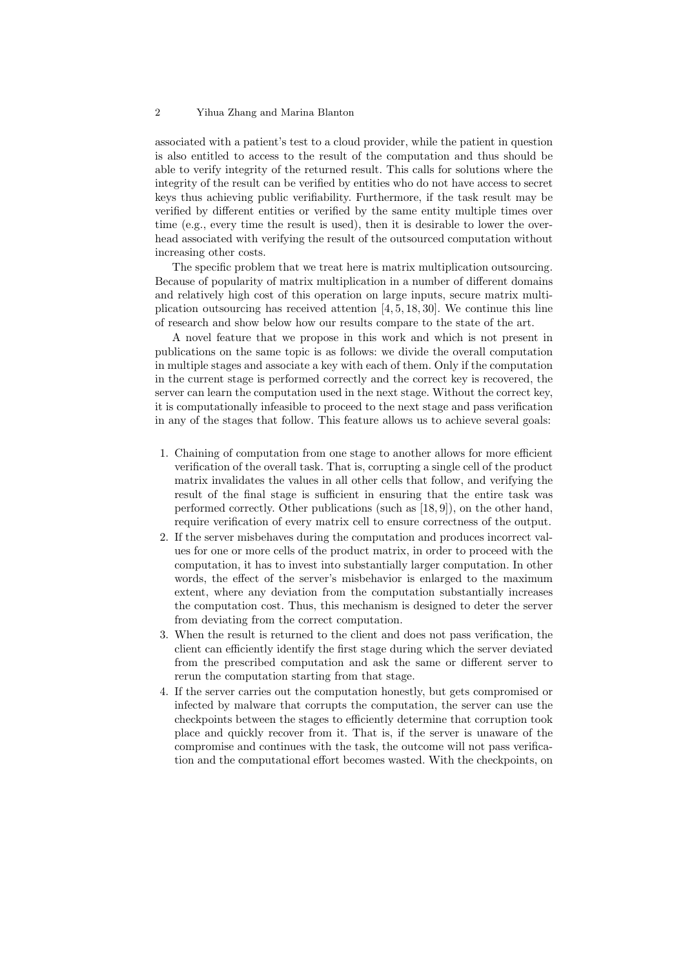associated with a patient's test to a cloud provider, while the patient in question is also entitled to access to the result of the computation and thus should be able to verify integrity of the returned result. This calls for solutions where the integrity of the result can be verified by entities who do not have access to secret keys thus achieving public verifiability. Furthermore, if the task result may be verified by different entities or verified by the same entity multiple times over time (e.g., every time the result is used), then it is desirable to lower the overhead associated with verifying the result of the outsourced computation without increasing other costs.

The specific problem that we treat here is matrix multiplication outsourcing. Because of popularity of matrix multiplication in a number of different domains and relatively high cost of this operation on large inputs, secure matrix multiplication outsourcing has received attention [4, 5, 18, 30]. We continue this line of research and show below how our results compare to the state of the art.

A novel feature that we propose in this work and which is not present in publications on the same topic is as follows: we divide the overall computation in multiple stages and associate a key with each of them. Only if the computation in the current stage is performed correctly and the correct key is recovered, the server can learn the computation used in the next stage. Without the correct key, it is computationally infeasible to proceed to the next stage and pass verification in any of the stages that follow. This feature allows us to achieve several goals:

- 1. Chaining of computation from one stage to another allows for more efficient verification of the overall task. That is, corrupting a single cell of the product matrix invalidates the values in all other cells that follow, and verifying the result of the final stage is sufficient in ensuring that the entire task was performed correctly. Other publications (such as [18, 9]), on the other hand, require verification of every matrix cell to ensure correctness of the output.
- 2. If the server misbehaves during the computation and produces incorrect values for one or more cells of the product matrix, in order to proceed with the computation, it has to invest into substantially larger computation. In other words, the effect of the server's misbehavior is enlarged to the maximum extent, where any deviation from the computation substantially increases the computation cost. Thus, this mechanism is designed to deter the server from deviating from the correct computation.
- 3. When the result is returned to the client and does not pass verification, the client can efficiently identify the first stage during which the server deviated from the prescribed computation and ask the same or different server to rerun the computation starting from that stage.
- 4. If the server carries out the computation honestly, but gets compromised or infected by malware that corrupts the computation, the server can use the checkpoints between the stages to efficiently determine that corruption took place and quickly recover from it. That is, if the server is unaware of the compromise and continues with the task, the outcome will not pass verification and the computational effort becomes wasted. With the checkpoints, on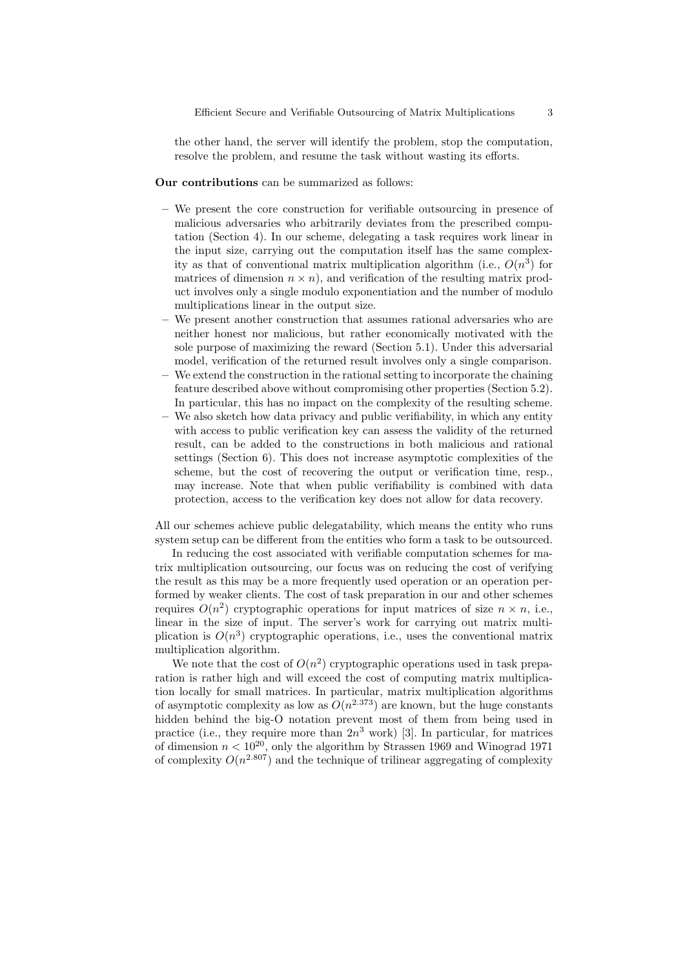the other hand, the server will identify the problem, stop the computation, resolve the problem, and resume the task without wasting its efforts.

## Our contributions can be summarized as follows:

- We present the core construction for verifiable outsourcing in presence of malicious adversaries who arbitrarily deviates from the prescribed computation (Section 4). In our scheme, delegating a task requires work linear in the input size, carrying out the computation itself has the same complexity as that of conventional matrix multiplication algorithm (i.e.,  $O(n^3)$ ) for matrices of dimension  $n \times n$ , and verification of the resulting matrix product involves only a single modulo exponentiation and the number of modulo multiplications linear in the output size.
- We present another construction that assumes rational adversaries who are neither honest nor malicious, but rather economically motivated with the sole purpose of maximizing the reward (Section 5.1). Under this adversarial model, verification of the returned result involves only a single comparison.
- We extend the construction in the rational setting to incorporate the chaining feature described above without compromising other properties (Section 5.2). In particular, this has no impact on the complexity of the resulting scheme.
- We also sketch how data privacy and public verifiability, in which any entity with access to public verification key can assess the validity of the returned result, can be added to the constructions in both malicious and rational settings (Section 6). This does not increase asymptotic complexities of the scheme, but the cost of recovering the output or verification time, resp., may increase. Note that when public verifiability is combined with data protection, access to the verification key does not allow for data recovery.

All our schemes achieve public delegatability, which means the entity who runs system setup can be different from the entities who form a task to be outsourced.

In reducing the cost associated with verifiable computation schemes for matrix multiplication outsourcing, our focus was on reducing the cost of verifying the result as this may be a more frequently used operation or an operation performed by weaker clients. The cost of task preparation in our and other schemes requires  $O(n^2)$  cryptographic operations for input matrices of size  $n \times n$ , i.e., linear in the size of input. The server's work for carrying out matrix multiplication is  $O(n^3)$  cryptographic operations, i.e., uses the conventional matrix multiplication algorithm.

We note that the cost of  $O(n^2)$  cryptographic operations used in task preparation is rather high and will exceed the cost of computing matrix multiplication locally for small matrices. In particular, matrix multiplication algorithms of asymptotic complexity as low as  $O(n^{2.373})$  are known, but the huge constants hidden behind the big-O notation prevent most of them from being used in practice (i.e., they require more than  $2n^3$  work) [3]. In particular, for matrices of dimension  $n < 10^{20}$ , only the algorithm by Strassen 1969 and Winograd 1971 of complexity  $O(n^{2.807})$  and the technique of trilinear aggregating of complexity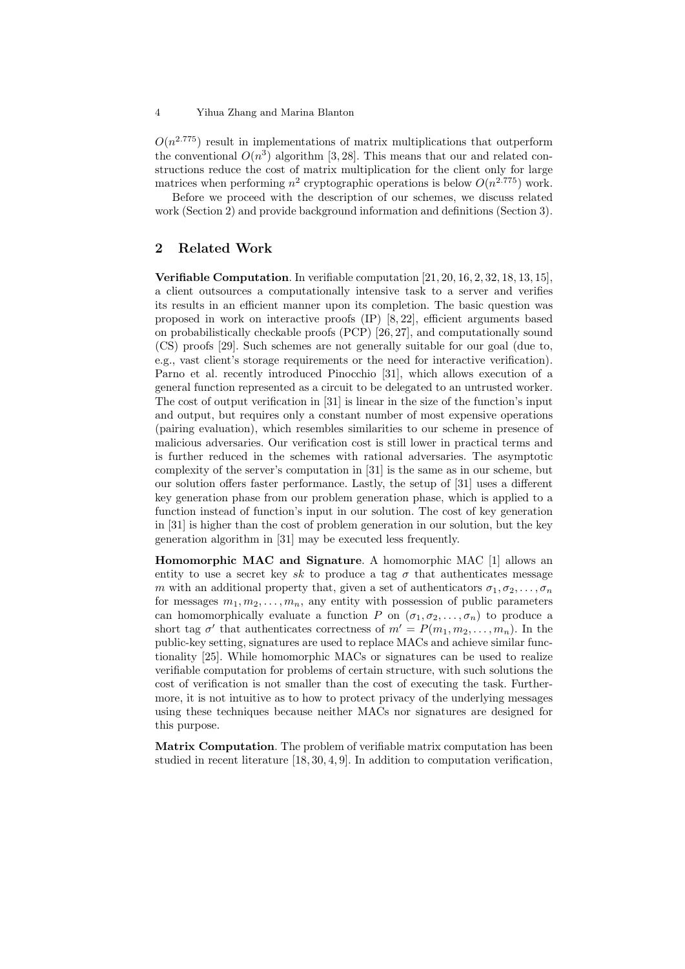$O(n^{2.775})$  result in implementations of matrix multiplications that outperform the conventional  $O(n^3)$  algorithm [3, 28]. This means that our and related constructions reduce the cost of matrix multiplication for the client only for large matrices when performing  $n^2$  cryptographic operations is below  $O(n^{2.775})$  work.

Before we proceed with the description of our schemes, we discuss related work (Section 2) and provide background information and definitions (Section 3).

# 2 Related Work

Verifiable Computation. In verifiable computation [21, 20, 16, 2, 32, 18, 13, 15], a client outsources a computationally intensive task to a server and verifies its results in an efficient manner upon its completion. The basic question was proposed in work on interactive proofs (IP) [8, 22], efficient arguments based on probabilistically checkable proofs (PCP) [26, 27], and computationally sound (CS) proofs [29]. Such schemes are not generally suitable for our goal (due to, e.g., vast client's storage requirements or the need for interactive verification). Parno et al. recently introduced Pinocchio [31], which allows execution of a general function represented as a circuit to be delegated to an untrusted worker. The cost of output verification in [31] is linear in the size of the function's input and output, but requires only a constant number of most expensive operations (pairing evaluation), which resembles similarities to our scheme in presence of malicious adversaries. Our verification cost is still lower in practical terms and is further reduced in the schemes with rational adversaries. The asymptotic complexity of the server's computation in [31] is the same as in our scheme, but our solution offers faster performance. Lastly, the setup of [31] uses a different key generation phase from our problem generation phase, which is applied to a function instead of function's input in our solution. The cost of key generation in [31] is higher than the cost of problem generation in our solution, but the key generation algorithm in [31] may be executed less frequently.

Homomorphic MAC and Signature. A homomorphic MAC [1] allows an entity to use a secret key sk to produce a tag  $\sigma$  that authenticates message m with an additional property that, given a set of authenticators  $\sigma_1, \sigma_2, \ldots, \sigma_n$ for messages  $m_1, m_2, \ldots, m_n$ , any entity with possession of public parameters can homomorphically evaluate a function P on  $(\sigma_1, \sigma_2, \ldots, \sigma_n)$  to produce a short tag  $\sigma'$  that authenticates correctness of  $m' = P(m_1, m_2, \ldots, m_n)$ . In the public-key setting, signatures are used to replace MACs and achieve similar functionality [25]. While homomorphic MACs or signatures can be used to realize verifiable computation for problems of certain structure, with such solutions the cost of verification is not smaller than the cost of executing the task. Furthermore, it is not intuitive as to how to protect privacy of the underlying messages using these techniques because neither MACs nor signatures are designed for this purpose.

Matrix Computation. The problem of verifiable matrix computation has been studied in recent literature [18, 30, 4, 9]. In addition to computation verification,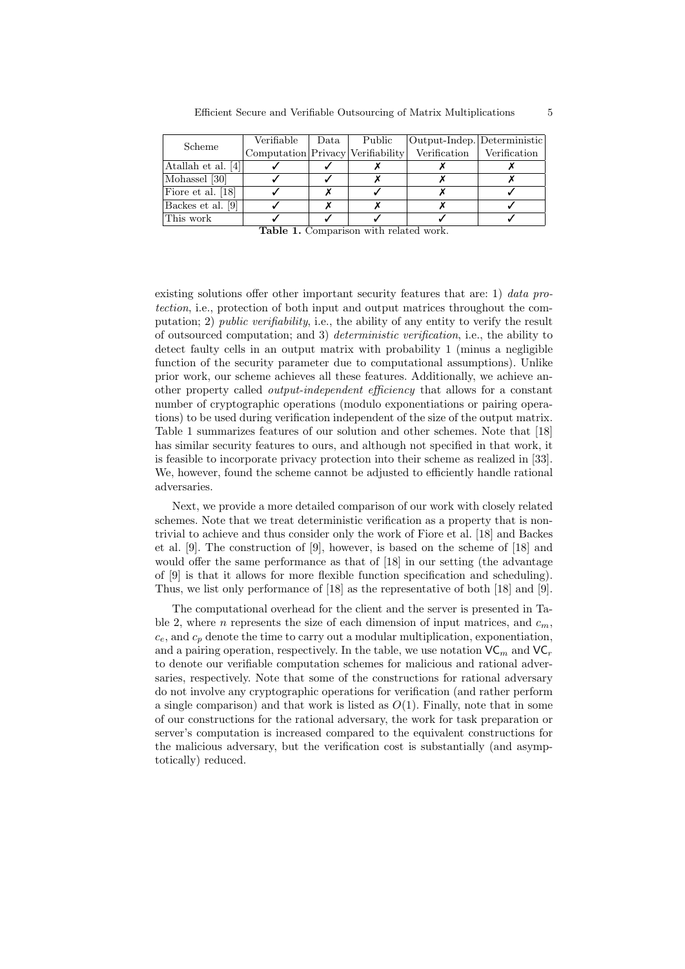| Scheme             | Verifiable                          | Data | Public | Output-Indep. Deterministic |  |
|--------------------|-------------------------------------|------|--------|-----------------------------|--|
|                    | Computation   Privacy Verifiability |      |        | Verification   Verification |  |
| Atallah et al. [4] |                                     |      |        |                             |  |
| Mohassel [30]      |                                     |      |        |                             |  |
| Fiore et al. [18]  |                                     |      |        |                             |  |
| Backes et al. [9]  |                                     |      |        |                             |  |
| This work          |                                     |      |        |                             |  |

Table 1. Comparison with related work.

existing solutions offer other important security features that are: 1) data protection, i.e., protection of both input and output matrices throughout the computation; 2) *public verifiability*, i.e., the ability of any entity to verify the result of outsourced computation; and 3) deterministic verification, i.e., the ability to detect faulty cells in an output matrix with probability 1 (minus a negligible function of the security parameter due to computational assumptions). Unlike prior work, our scheme achieves all these features. Additionally, we achieve another property called output-independent efficiency that allows for a constant number of cryptographic operations (modulo exponentiations or pairing operations) to be used during verification independent of the size of the output matrix. Table 1 summarizes features of our solution and other schemes. Note that [18] has similar security features to ours, and although not specified in that work, it is feasible to incorporate privacy protection into their scheme as realized in [33]. We, however, found the scheme cannot be adjusted to efficiently handle rational adversaries.

Next, we provide a more detailed comparison of our work with closely related schemes. Note that we treat deterministic verification as a property that is nontrivial to achieve and thus consider only the work of Fiore et al. [18] and Backes et al. [9]. The construction of [9], however, is based on the scheme of [18] and would offer the same performance as that of [18] in our setting (the advantage of [9] is that it allows for more flexible function specification and scheduling). Thus, we list only performance of [18] as the representative of both [18] and [9].

The computational overhead for the client and the server is presented in Table 2, where *n* represents the size of each dimension of input matrices, and  $c_m$ ,  $c_e$ , and  $c_p$  denote the time to carry out a modular multiplication, exponentiation, and a pairing operation, respectively. In the table, we use notation  $VC_m$  and  $VC_r$ to denote our verifiable computation schemes for malicious and rational adversaries, respectively. Note that some of the constructions for rational adversary do not involve any cryptographic operations for verification (and rather perform a single comparison) and that work is listed as  $O(1)$ . Finally, note that in some of our constructions for the rational adversary, the work for task preparation or server's computation is increased compared to the equivalent constructions for the malicious adversary, but the verification cost is substantially (and asymptotically) reduced.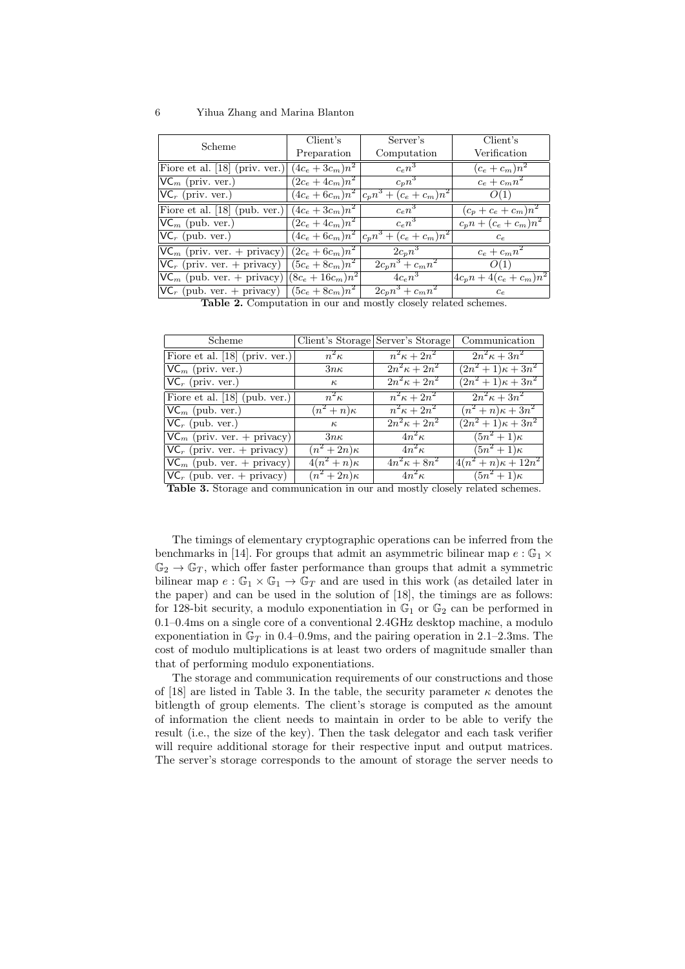|                                                               | Client's           | Server's                                     | Client's                     |  |
|---------------------------------------------------------------|--------------------|----------------------------------------------|------------------------------|--|
| Scheme                                                        | Preparation        | Computation                                  | Verification                 |  |
| Fiore et al. $[18]$ (priv. ver.)                              | $(4c_e + 3c_m)n^2$ | $c_e n^3$                                    | $(c_e + c_m)n^2$             |  |
| $VC_m$ (priv. ver.)                                           | $(2c_e + 4c_m)n^2$ | $c_p n^3$                                    | $c_e + c_m n^2$              |  |
| $VC_r$ (priv. ver.)                                           |                    | $(4c_e + 6c_m)n^2  c_p n^3 + (c_e + c_m)n^2$ | O(1)                         |  |
| Fiore et al. [18] (pub. ver.) $(4c_e + 3c_m)n^2$              |                    | $c_e n^3$                                    | $(c_p + c_e + c_m)n^2$       |  |
| $VC_m$ (pub. ver.)                                            | $(2c_e + 4c_m)n^2$ | $c_{e}n^{3}$                                 | $c_p n + (c_e + c_m) n^2$    |  |
| $VC_r$ (pub. ver.)                                            |                    | $(4c_e + 6c_m)n^2  c_p n^3 + (c_e + c_m)n^2$ | $c_{\epsilon}$               |  |
| $\overline{\mathsf{VC}_{m}}$ (priv. ver. + privacy)           | $(2c_e + 6c_m)n^2$ | $2c_p n^3$                                   | $c_e + c_m n^2$              |  |
| $VC_r$ (priv. ver. + privacy)                                 | $(5c_e + 8c_m)n^2$ | $2c_p n^3 + c_m n^2$                         | O(1)                         |  |
| $\mathsf{VC}_{m}$ (pub. ver. + privacy) $ (8c_e + 16c_m)n^2 $ |                    | $4c_e n^3$                                   | $ 4c_p n + 4(c_e + c_m)n^2 $ |  |
| $\mathsf{VC}_r$ (pub. ver. + privacy) $ (5c_e + 8c_m)n^2 $    |                    | $2c_p n^3 + c_m n^2$                         | $c_{e}$                      |  |

Table 2. Computation in our and mostly closely related schemes.

| Fiore et al. $[18]$ (priv. ver.)<br>$n^2\kappa$ | $n^2\kappa+2n^2$    | $2n^2\kappa+3n^2$                             |
|-------------------------------------------------|---------------------|-----------------------------------------------|
| $3n\kappa$                                      |                     | $(2n^2+1)\kappa+3n^2$                         |
| $\kappa$                                        |                     | $(2n^2+1)\kappa+3n^2$                         |
| $n^2\kappa$                                     | $n^2\kappa+2n^2$    | $2n^2\kappa+3n^2$                             |
| $(n^2+n)\kappa$                                 | $n^2\kappa+2n^2$    | $(n^2+n)\kappa+3n^2$                          |
| $\kappa$                                        | $2n^2\kappa+2n^2$   | $(2n^2+1)\kappa+3n^2$                         |
| $3n\kappa$                                      | $4n^2\kappa$        | $(5n^2+1)\kappa$                              |
| $(n^2+2n)\kappa$                                | $4n^2\kappa$        | $\sqrt{(5n^2+1)\kappa}$                       |
| $4(n^2+n)\kappa$                                | $4n^2\kappa + 8n^2$ | $4(n^2+n)\kappa+12n^2$                        |
| $(n^2+2n)\kappa$                                | $4n^2\kappa$        | $(5n^2+1)\kappa$                              |
|                                                 |                     | $\sqrt{2n^2\kappa+2n^2}$<br>$2n^2\kappa+2n^2$ |

Table 3. Storage and communication in our and mostly closely related schemes.

The timings of elementary cryptographic operations can be inferred from the benchmarks in [14]. For groups that admit an asymmetric bilinear map  $e : \mathbb{G}_1 \times$  $\mathbb{G}_2 \to \mathbb{G}_T$ , which offer faster performance than groups that admit a symmetric bilinear map  $e : \mathbb{G}_1 \times \mathbb{G}_1 \to \mathbb{G}_T$  and are used in this work (as detailed later in the paper) and can be used in the solution of [18], the timings are as follows: for 128-bit security, a modulo exponentiation in  $\mathbb{G}_1$  or  $\mathbb{G}_2$  can be performed in 0.1–0.4ms on a single core of a conventional 2.4GHz desktop machine, a modulo exponentiation in  $\mathbb{G}_T$  in 0.4–0.9ms, and the pairing operation in 2.1–2.3ms. The cost of modulo multiplications is at least two orders of magnitude smaller than that of performing modulo exponentiations.

The storage and communication requirements of our constructions and those of [18] are listed in Table 3. In the table, the security parameter  $\kappa$  denotes the bitlength of group elements. The client's storage is computed as the amount of information the client needs to maintain in order to be able to verify the result (i.e., the size of the key). Then the task delegator and each task verifier will require additional storage for their respective input and output matrices. The server's storage corresponds to the amount of storage the server needs to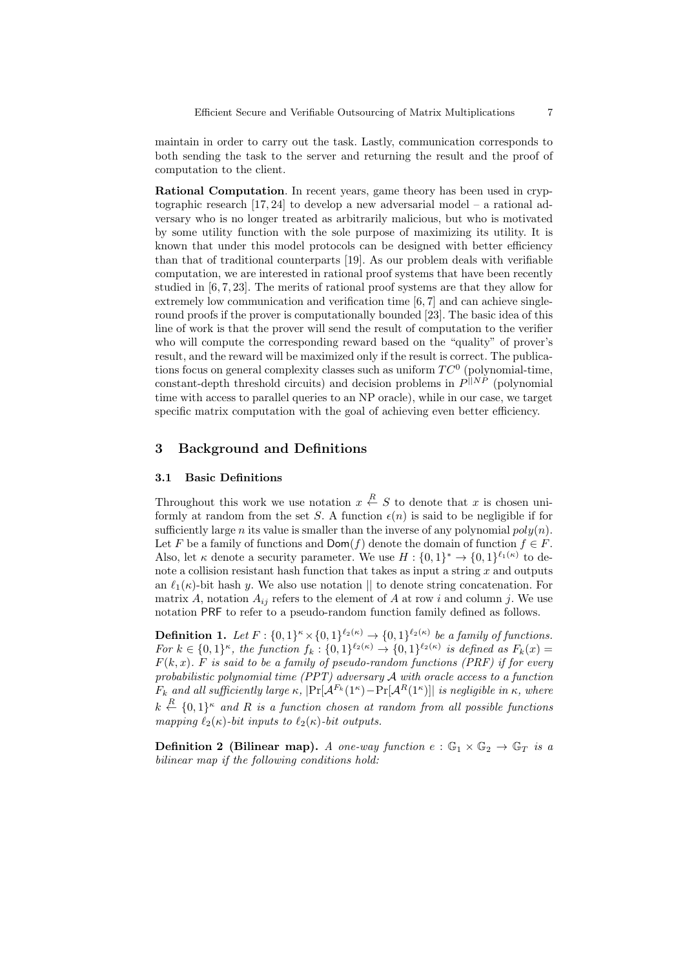Efficient Secure and Verifiable Outsourcing of Matrix Multiplications 7

maintain in order to carry out the task. Lastly, communication corresponds to both sending the task to the server and returning the result and the proof of computation to the client.

Rational Computation. In recent years, game theory has been used in cryptographic research [17, 24] to develop a new adversarial model – a rational adversary who is no longer treated as arbitrarily malicious, but who is motivated by some utility function with the sole purpose of maximizing its utility. It is known that under this model protocols can be designed with better efficiency than that of traditional counterparts [19]. As our problem deals with verifiable computation, we are interested in rational proof systems that have been recently studied in [6, 7, 23]. The merits of rational proof systems are that they allow for extremely low communication and verification time [6, 7] and can achieve singleround proofs if the prover is computationally bounded [23]. The basic idea of this line of work is that the prover will send the result of computation to the verifier who will compute the corresponding reward based on the "quality" of prover's result, and the reward will be maximized only if the result is correct. The publications focus on general complexity classes such as uniform  $TC^0$  (polynomial-time, constant-depth threshold circuits) and decision problems in  $P^{||NP}$  (polynomial time with access to parallel queries to an NP oracle), while in our case, we target specific matrix computation with the goal of achieving even better efficiency.

## 3 Background and Definitions

## 3.1 Basic Definitions

Throughout this work we use notation  $x \stackrel{R}{\leftarrow} S$  to denote that x is chosen uniformly at random from the set S. A function  $\epsilon(n)$  is said to be negligible if for sufficiently large *n* its value is smaller than the inverse of any polynomial  $poly(n)$ . Let F be a family of functions and  $Dom(f)$  denote the domain of function  $f \in F$ . Also, let  $\kappa$  denote a security parameter. We use  $H: \{0,1\}^* \to \{0,1\}^{\ell_1(\kappa)}$  to denote a collision resistant hash function that takes as input a string  $x$  and outputs an  $\ell_1(\kappa)$ -bit hash y. We also use notation || to denote string concatenation. For matrix A, notation  $A_{ij}$  refers to the element of A at row i and column j. We use notation PRF to refer to a pseudo-random function family defined as follows.

**Definition 1.** Let  $F: \{0,1\}^{\kappa} \times \{0,1\}^{\ell_2(\kappa)} \to \{0,1\}^{\ell_2(\kappa)}$  be a family of functions. For  $k \in \{0,1\}^{\kappa}$ , the function  $f_k: \{0,1\}^{\ell_2(\kappa)} \to \{0,1\}^{\ell_2(\kappa)}$  is defined as  $F_k(x) =$  $F(k, x)$ . F is said to be a family of pseudo-random functions (PRF) if for every probabilistic polynomial time (PPT) adversary A with oracle access to a function  $F_k$  and all sufficiently large  $\kappa$ ,  $\left| \Pr[\mathcal{A}^{F_k}(1^{\kappa}) - \Pr[\mathcal{A}^{R}(1^{\kappa}) ] \right|$  is negligible in  $\kappa$ , where  $k \stackrel{R}{\leftarrow} \{0,1\}^{\kappa}$  and R is a function chosen at random from all possible functions mapping  $\ell_2(\kappa)$ -bit inputs to  $\ell_2(\kappa)$ -bit outputs.

**Definition 2 (Bilinear map).** A one-way function  $e : \mathbb{G}_1 \times \mathbb{G}_2 \to \mathbb{G}_T$  is a bilinear map if the following conditions hold: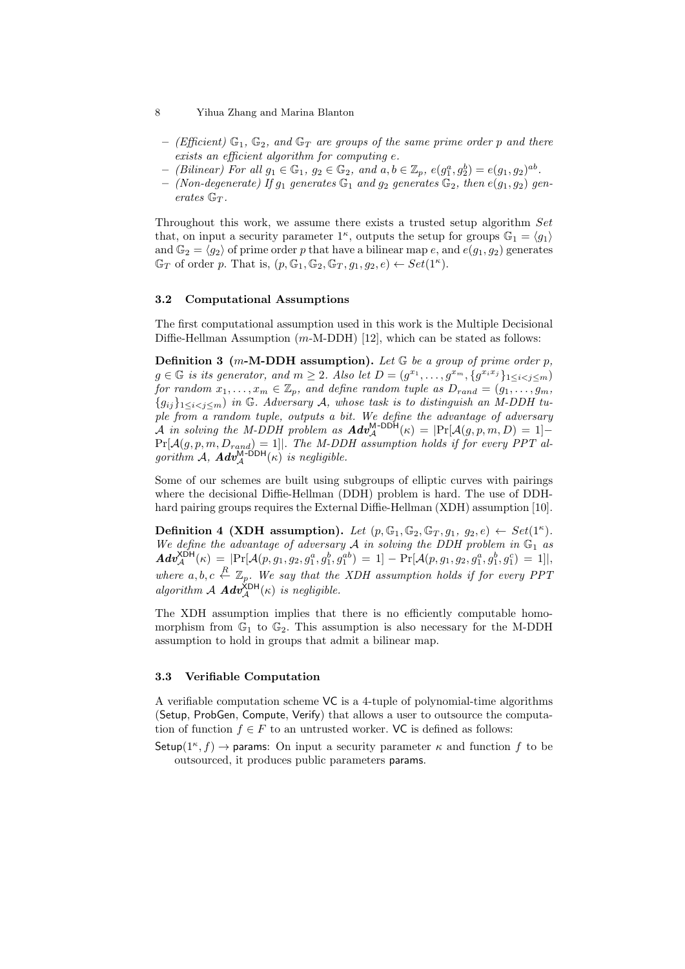- (Efficient)  $\mathbb{G}_1$ ,  $\mathbb{G}_2$ , and  $\mathbb{G}_T$  are groups of the same prime order p and there exists an efficient algorithm for computing e.
- (Bilinear) For all  $g_1 \in \mathbb{G}_1$ ,  $g_2 \in \mathbb{G}_2$ , and  $a, b \in \mathbb{Z}_p$ ,  $e(g_1^a, g_2^b) = e(g_1, g_2)^{ab}$ .
- (Non-degenerate) If  $g_1$  generates  $\mathbb{G}_1$  and  $g_2$  generates  $\mathbb{G}_2$ , then  $e(g_1, g_2)$  generates  $\mathbb{G}_T$ .

Throughout this work, we assume there exists a trusted setup algorithm Set that, on input a security parameter  $1^{\kappa}$ , outputs the setup for groups  $\mathbb{G}_1 = \langle g_1 \rangle$ and  $\mathbb{G}_2 = \langle g_2 \rangle$  of prime order p that have a bilinear map e, and  $e(g_1, g_2)$  generates  $\mathbb{G}_T$  of order p. That is,  $(p, \mathbb{G}_1, \mathbb{G}_2, \mathbb{G}_T, g_1, g_2, e) \leftarrow Set(1^{\kappa}).$ 

## 3.2 Computational Assumptions

The first computational assumption used in this work is the Multiple Decisional Diffie-Hellman Assumption  $(m-M-DDH)$  [12], which can be stated as follows:

**Definition 3** (m-M-DDH assumption). Let  $G$  be a group of prime order p,  $g \in \mathbb{G}$  is its generator, and  $m \geq 2$ . Also let  $D = (g^{x_1}, \ldots, g^{x_m}, \{g^{x_ix_j}\}_{1 \leq i < j \leq m})$ for random  $x_1, \ldots, x_m \in \mathbb{Z}_p$ , and define random tuple as  $D_{rand} = (g_1, \ldots, g_m,$  ${g_{ij}}_1 \subset \{g_{ij}\}_{1 \leq i \leq j \leq m}$  in G. Adversary A, whose task is to distinguish an M-DDH tuple from a random tuple, outputs a bit. We define the advantage of adversary A in solving the M-DDH problem as  $Adv_{\mathcal{A}}^{\mathsf{M-DDH}}(\kappa) = |\Pr[\mathcal{A}(g, p, m, D) = 1] Pr[\mathcal{A}(g, p, m, D_{rand}) = 1]|$ . The M-DDH assumption holds if for every PPT algorithm  $\mathcal{A}$ ,  $\mathbf{Adv}_{\mathcal{A}}^{\mathsf{M-DDH}}(\kappa)$  is negligible.

Some of our schemes are built using subgroups of elliptic curves with pairings where the decisional Diffie-Hellman (DDH) problem is hard. The use of DDHhard pairing groups requires the External Diffie-Hellman (XDH) assumption [10].

Definition 4 (XDH assumption). Let  $(p, \mathbb{G}_1, \mathbb{G}_2, \mathbb{G}_T, g_1, g_2, e) \leftarrow Set(1^{\kappa})$ . We define the advantage of adversary  $A$  in solving the DDH problem in  $\mathbb{G}_1$  as  $\boldsymbol{Adv}_{\mathcal{A}}^{\sf XDH}(\kappa) \,=\, |{\rm Pr}[\mathcal{A}(p,g_1,g_2,g_1^a,g_1^b,g_1^{ab}) \,=\, 1] - {\rm Pr}[\mathcal{A}(p,g_1,g_2,g_1^a,g_1^b,g_1^c) \,=\, 1]|,$ where  $a, b, c \stackrel{R}{\leftarrow} \mathbb{Z}_p$ . We say that the XDH assumption holds if for every PPT algorithm  $A \text{ Adv}_{\mathcal{A}}^{\text{XDH}}(\kappa)$  is negligible.

The XDH assumption implies that there is no efficiently computable homomorphism from  $\mathbb{G}_1$  to  $\mathbb{G}_2$ . This assumption is also necessary for the M-DDH assumption to hold in groups that admit a bilinear map.

#### 3.3 Verifiable Computation

A verifiable computation scheme VC is a 4-tuple of polynomial-time algorithms (Setup, ProbGen, Compute, Verify) that allows a user to outsource the computation of function  $f \in F$  to an untrusted worker. VC is defined as follows:

Setup( $1^{\kappa}, f$ )  $\rightarrow$  params: On input a security parameter  $\kappa$  and function f to be outsourced, it produces public parameters params.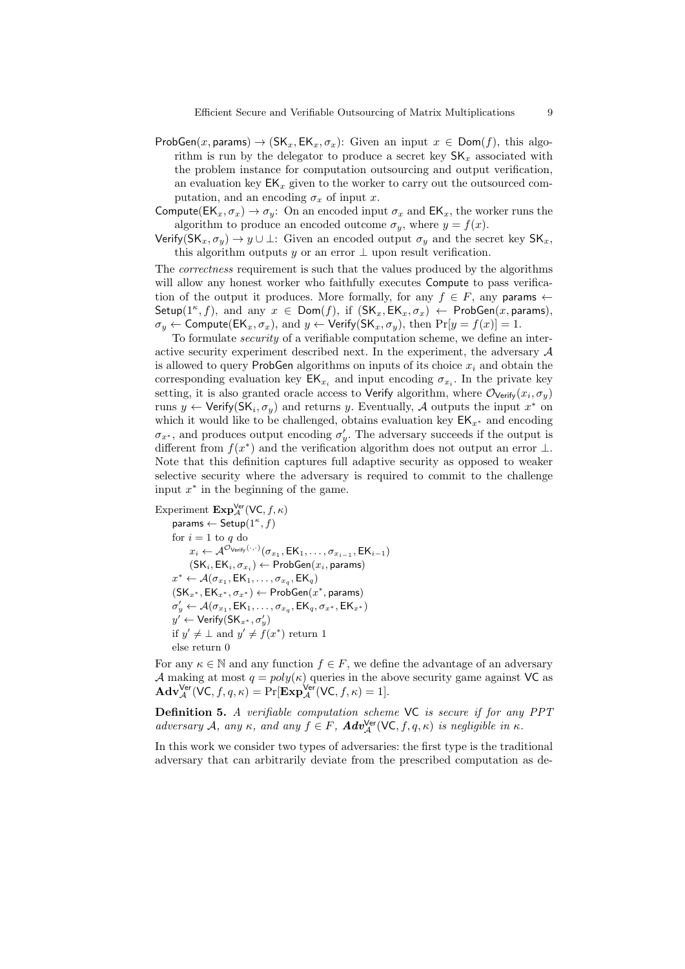- ProbGen(x, params)  $\rightarrow$  (SK<sub>x</sub>, EK<sub>x</sub>,  $\sigma_x$ ): Given an input  $x \in Dom(f)$ , this algorithm is run by the delegator to produce a secret key  $SK_x$  associated with the problem instance for computation outsourcing and output verification, an evaluation key  $EK_x$  given to the worker to carry out the outsourced computation, and an encoding  $\sigma_x$  of input x.
- Compute(EK<sub>x</sub>,  $\sigma_x$ )  $\rightarrow \sigma_y$ : On an encoded input  $\sigma_x$  and EK<sub>x</sub>, the worker runs the algorithm to produce an encoded outcome  $\sigma_y$ , where  $y = f(x)$ .
- Verify(SK<sub>x</sub>,  $\sigma_y$ )  $\rightarrow$  y  $\cup$   $\perp$ : Given an encoded output  $\sigma_y$  and the secret key SK<sub>x</sub>, this algorithm outputs y or an error  $\perp$  upon result verification.

The correctness requirement is such that the values produced by the algorithms will allow any honest worker who faithfully executes Compute to pass verification of the output it produces. More formally, for any  $f \in F$ , any params  $\leftarrow$ Setup $(1^{\kappa}, f)$ , and any  $x \in Dom(f)$ , if  $(SK_x, EK_x, \sigma_x) \leftarrow ProbGen(x, params)$ ,  $\sigma_y \leftarrow$  Compute(EK<sub>x</sub>,  $\sigma_x$ ), and  $y \leftarrow$  Verify(SK<sub>x</sub>,  $\sigma_y$ ), then  $Pr[y = f(x)] = 1$ .

To formulate security of a verifiable computation scheme, we define an interactive security experiment described next. In the experiment, the adversary A is allowed to query ProbGen algorithms on inputs of its choice  $x_i$  and obtain the corresponding evaluation key  $\mathsf{EK}_{x_i}$  and input encoding  $\sigma_{x_i}$ . In the private key setting, it is also granted oracle access to Verify algorithm, where  $\mathcal{O}_{\text{Verify}}(x_i, \sigma_y)$ runs y ← Verify(SK<sub>i</sub>,  $\sigma_y$ ) and returns y. Eventually, A outputs the input  $x^*$  on which it would like to be challenged, obtains evaluation key  $EK_{x^*}$  and encoding  $\sigma_{x^*}$ , and produces output encoding  $\sigma'_y$ . The adversary succeeds if the output is different from  $f(x^*)$  and the verification algorithm does not output an error  $\perp$ . Note that this definition captures full adaptive security as opposed to weaker selective security where the adversary is required to commit to the challenge input  $x^*$  in the beginning of the game.

Experiment  $\mathbf{Exp}_{\mathcal{A}}^{\mathsf{Ver}}(\mathsf{VC}, f, \kappa)$ 

params  $\leftarrow$  Setup $(1^{\kappa}, f)$ for  $i = 1$  to q do  $x_i \leftarrow \mathcal{A}^{\mathcal{O}_{\mathsf{Verify}}(\cdot, \cdot)}(\sigma_{x_1}, \mathsf{EK}_1, \dots, \sigma_{x_{i-1}}, \mathsf{EK}_{i-1})$  $(\mathsf{SK}_i, \mathsf{EK}_i, \sigma_{x_i}) \leftarrow \mathsf{ProbGen}(x_i, \mathsf{params})$  $x^* \leftarrow \mathcal{A}(\sigma_{x_1}, \mathsf{EK}_1, \dots, \sigma_{x_q}, \mathsf{EK}_q)$  $(SK_{x^*}, EK_{x^*}, \sigma_{x^*}) \leftarrow \text{ProbGen}(x^*, \text{params})$  $\sigma'_{y} \leftarrow \mathcal{A}(\sigma_{x_1}, \mathsf{EK}_1, \ldots, \sigma_{x_q}, \mathsf{EK}_q, \sigma_{x^*}, \mathsf{EK}_{x^*})$  $y' \leftarrow$  Verify $(SK_{x^*}, \sigma'_y)$ if  $y' \neq \perp$  and  $y' \neq f(x^*)$  return 1 else return 0

For any  $\kappa \in \mathbb{N}$  and any function  $f \in F$ , we define the advantage of an adversary A making at most  $q = poly(\kappa)$  queries in the above security game against VC as  $\mathbf{Adv}_{\mathcal{A}}^{\mathsf{Ver}}(\mathsf{VC}, f, q, \kappa) = \Pr[\mathbf{Exp}_{\mathcal{A}}^{\mathsf{Ver}}(\mathsf{VC}, f, \kappa) = 1].$ 

Definition 5. A verifiable computation scheme VC is secure if for any PPT adversary A, any  $\kappa$ , and any  $f \in F$ ,  $\boldsymbol{Adv}_{\mathcal{A}}^{\text{Ver}}(\text{VC}, f, q, \kappa)$  is negligible in  $\kappa$ .

In this work we consider two types of adversaries: the first type is the traditional adversary that can arbitrarily deviate from the prescribed computation as de-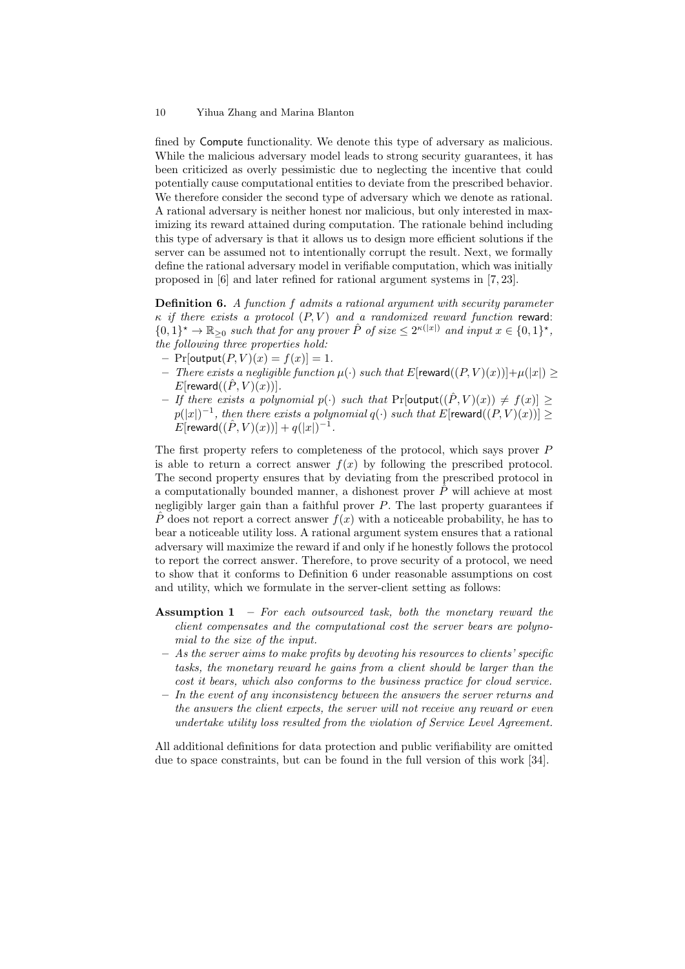fined by Compute functionality. We denote this type of adversary as malicious. While the malicious adversary model leads to strong security guarantees, it has been criticized as overly pessimistic due to neglecting the incentive that could potentially cause computational entities to deviate from the prescribed behavior. We therefore consider the second type of adversary which we denote as rational. A rational adversary is neither honest nor malicious, but only interested in maximizing its reward attained during computation. The rationale behind including this type of adversary is that it allows us to design more efficient solutions if the server can be assumed not to intentionally corrupt the result. Next, we formally define the rational adversary model in verifiable computation, which was initially proposed in [6] and later refined for rational argument systems in [7, 23].

Definition 6. A function f admits a rational argument with security parameter  $\kappa$  if there exists a protocol  $(P, V)$  and a randomized reward function reward:  $\{0,1\}^* \to \mathbb{R}_{\geq 0}$  such that for any prover  $\hat{P}$  of size  $\leq 2^{\kappa(|x|)}$  and input  $x \in \{0,1\}^*$ , the following three properties hold:

- $-$  Pr[output( $P, V(x) = f(x)$ ] = 1.
- There exists a negligible function  $\mu(\cdot)$  such that E[reward((P, V)(x))]+ $\mu(|x|)$  ≥  $E[$ reward $((\hat{P}, V)(x))$ .
- If there exists a polynomial  $p(\cdot)$  such that Pr[output( $(\hat{P}, V)(x) \neq f(x)$ ]  $\geq$  $p(|x|)^{-1}$ , then there exists a polynomial  $q(\cdot)$  such that  $E[\mathsf{reward}((P, V)(x))] \geq$  $E[$ reward $((\hat{P}, V)(x))] + q(|x|)^{-1}$ .

The first property refers to completeness of the protocol, which says prover  $P$ is able to return a correct answer  $f(x)$  by following the prescribed protocol. The second property ensures that by deviating from the prescribed protocol in a computationally bounded manner, a dishonest prover  $\hat{P}$  will achieve at most negligibly larger gain than a faithful prover  $P$ . The last property guarantees if P does not report a correct answer  $f(x)$  with a noticeable probability, he has to bear a noticeable utility loss. A rational argument system ensures that a rational adversary will maximize the reward if and only if he honestly follows the protocol to report the correct answer. Therefore, to prove security of a protocol, we need to show that it conforms to Definition 6 under reasonable assumptions on cost and utility, which we formulate in the server-client setting as follows:

- **Assumption 1** For each outsourced task, both the monetary reward the client compensates and the computational cost the server bears are polynomial to the size of the input.
- $-$  As the server aims to make profits by devoting his resources to clients' specific tasks, the monetary reward he gains from a client should be larger than the cost it bears, which also conforms to the business practice for cloud service.
- In the event of any inconsistency between the answers the server returns and the answers the client expects, the server will not receive any reward or even undertake utility loss resulted from the violation of Service Level Agreement.

All additional definitions for data protection and public verifiability are omitted due to space constraints, but can be found in the full version of this work [34].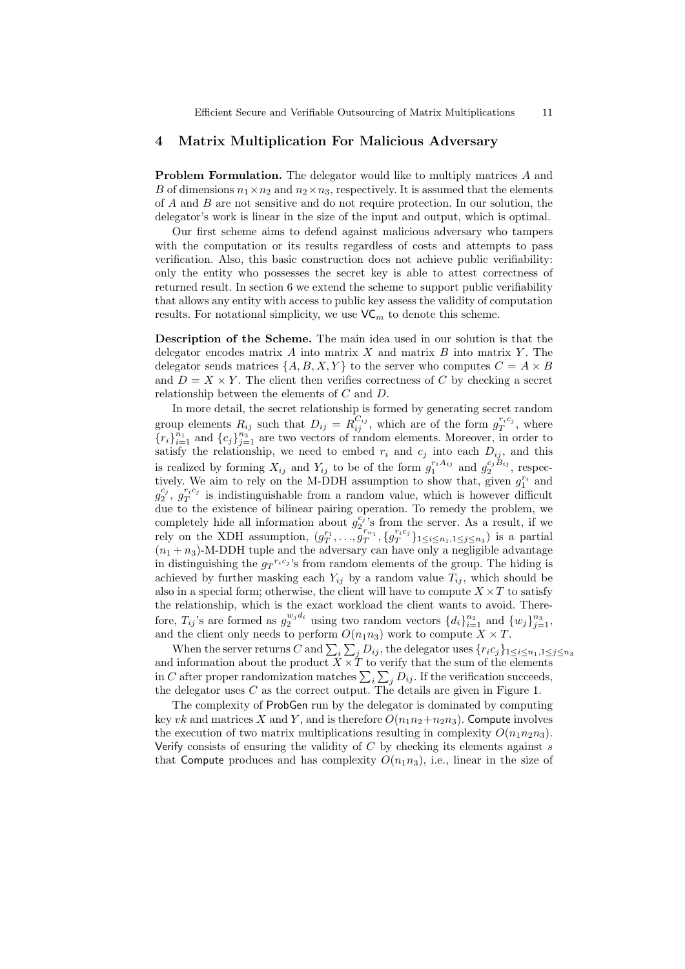## 4 Matrix Multiplication For Malicious Adversary

**Problem Formulation.** The delegator would like to multiply matrices A and B of dimensions  $n_1 \times n_2$  and  $n_2 \times n_3$ , respectively. It is assumed that the elements of A and B are not sensitive and do not require protection. In our solution, the delegator's work is linear in the size of the input and output, which is optimal.

Our first scheme aims to defend against malicious adversary who tampers with the computation or its results regardless of costs and attempts to pass verification. Also, this basic construction does not achieve public verifiability: only the entity who possesses the secret key is able to attest correctness of returned result. In section 6 we extend the scheme to support public verifiability that allows any entity with access to public key assess the validity of computation results. For notational simplicity, we use  $VC_m$  to denote this scheme.

Description of the Scheme. The main idea used in our solution is that the delegator encodes matrix  $A$  into matrix  $X$  and matrix  $B$  into matrix  $Y$ . The delegator sends matrices  $\{A, B, X, Y\}$  to the server who computes  $C = A \times B$ and  $D = X \times Y$ . The client then verifies correctness of C by checking a secret relationship between the elements of C and D.

In more detail, the secret relationship is formed by generating secret random group elements  $R_{ij}$  such that  $D_{ij} = R_{ij}^{C_{ij}}$ , which are of the form  $g_T^{r_ic_j}$ , where  ${r_i}_{i=1}^{n_1}$  and  ${c_j}_{j=1}^{n_3}$  are two vectors of random elements. Moreover, in order to satisfy the relationship, we need to embed  $r_i$  and  $c_j$  into each  $D_{ij}$ , and this is realized by forming  $X_{ij}$  and  $Y_{ij}$  to be of the form  $g_1^{r_i A_{ij}}$  and  $g_2^{c_j B_{ij}}$ , respectively. We aim to rely on the M-DDH assumption to show that, given  $g_1^{r_i}$  and  $g_2^{c_j}$  are indictinguishable from a readom rely which is however difficulty  $g_2^{c_j}$ ,  $g_T^{r_ic_j}$  is indistinguishable from a random value, which is however difficult due to the existence of bilinear pairing operation. To remedy the problem, we completely hide all information about  $g_{2}^{c_j}$ 's from the server. As a result, if we rely on the XDH assumption,  $(g_T^{r_1},...,g_T^{r_{n_1}},\{g_T^{r_ic_j}\}_{1\leq i\leq n_1,1\leq j\leq n_3})$  is a partial  $(n_1 + n_3)$ -M-DDH tuple and the adversary can have only a negligible advantage in distinguishing the  $g_T^{r_i c_j}$ 's from random elements of the group. The hiding is achieved by further masking each  $Y_{ij}$  by a random value  $T_{ij}$ , which should be also in a special form; otherwise, the client will have to compute  $X \times T$  to satisfy the relationship, which is the exact workload the client wants to avoid. Therefore,  $T_{ij}$ 's are formed as  $g_2^{w_j d_i}$  using two random vectors  $\{d_i\}_{i=1}^{n_2}$  and  $\{w_j\}_{j=1}^{n_3}$ and the client only needs to perform  $O(n_1n_3)$  work to compute  $X \times T$ .

When the server returns C and  $\sum_i \sum_j D_{ij}$ , the delegator uses  $\{r_ic_j\}_{1 \leq i \leq n_1, 1 \leq j \leq n_3}$ and information about the product  $X \times T$  to verify that the sum of the elements in C after proper randomization matches  $\sum_i \sum_j D_{ij}$ . If the verification succeeds, the delegator uses  $C$  as the correct output. The details are given in Figure 1.

The complexity of ProbGen run by the delegator is dominated by computing key vk and matrices X and Y, and is therefore  $O(n_1n_2+n_2n_3)$ . Compute involves the execution of two matrix multiplications resulting in complexity  $O(n_1n_2n_3)$ . Verify consists of ensuring the validity of  $C$  by checking its elements against  $s$ that Compute produces and has complexity  $O(n_1n_3)$ , i.e., linear in the size of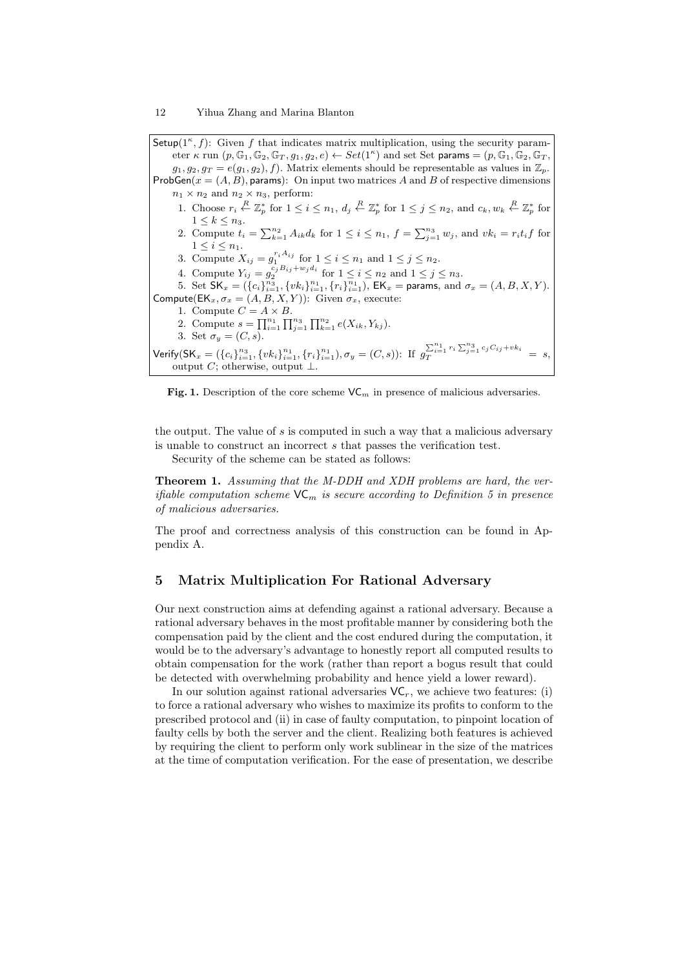Setup( $1^{\kappa}, f$ ): Given f that indicates matrix multiplication, using the security parameter  $\kappa$  run  $(p, \mathbb{G}_1, \mathbb{G}_2, \mathbb{G}_T, g_1, g_2, e) \leftarrow Set(1^{\kappa})$  and set Set params  $=(p, \mathbb{G}_1, \mathbb{G}_2, \mathbb{G}_T, e)$  $g_1, g_2, g_T = e(g_1, g_2), f$ . Matrix elements should be representable as values in  $\mathbb{Z}_p$ . ProbGen $(x = (A, B)$ , params): On input two matrices A and B of respective dimensions  $n_1 \times n_2$  and  $n_2 \times n_3$ , perform: 1. Choose  $r_i \stackrel{R}{\leftarrow} \mathbb{Z}_p^*$  for  $1 \leq i \leq n_1$ ,  $d_j \stackrel{R}{\leftarrow} \mathbb{Z}_p^*$  for  $1 \leq j \leq n_2$ , and  $c_k, w_k \stackrel{R}{\leftarrow} \mathbb{Z}_p^*$  for  $1 \leq k \leq n_3$ . 2. Compute  $t_i = \sum_{k=1}^{n_2} A_{ik} d_k$  for  $1 \leq i \leq n_1$ ,  $f = \sum_{j=1}^{n_3} w_j$ , and  $vk_i = r_i t_i f$  for  $1 \leq i \leq n_1$ . 3. Compute  $X_{ij} = g_1^{r_i A_{ij}}$  for  $1 \leq i \leq n_1$  and  $1 \leq j \leq n_2$ . 4. Compute  $Y_{ij} = g_2^{c_j B_{ij} + w_j d_i}$  for  $1 \le i \le n_2$  and  $1 \le j \le n_3$ . 5. Set  $\mathsf{SK}_x = (\{c_i\}_{i=1}^{n_3}, \{vk_i\}_{i=1}^{n_1}, \{r_i\}_{i=1}^{n_1}), \mathsf{EK}_x = \text{params}, \text{ and } \sigma_x = (A, B, X, Y).$ Compute(EK<sub>x</sub>,  $\sigma_x = (A, B, X, Y)$ ): Given  $\sigma_x$ , execute: 1. Compute  $C = A \times B$ . 2. Compute  $s = \prod_{i=1}^{n_1} \prod_{j=1}^{n_3} \prod_{k=1}^{n_2} e(X_{ik}, Y_{kj}).$ 3. Set  $\sigma_u = (C, s)$ .  $\text{Verify}(\textsf{SK}_x = (\{c_i\}_{i=1}^{n_3}, \{vk_i\}_{i=1}^{n_1}, \{r_i\}_{i=1}^{n_1}), \sigma_y = (C, s)$ ): If  $g_T^{\sum_{i=1}^{n_1} r_i \sum_{j=1}^{n_3} c_j C_{ij} + vk_i} = s$ , output  $C$ ; otherwise, output  $\bot$ .

Fig. 1. Description of the core scheme  $\mathsf{VC}_m$  in presence of malicious adversaries.

the output. The value of  $s$  is computed in such a way that a malicious adversary is unable to construct an incorrect s that passes the verification test.

Security of the scheme can be stated as follows:

Theorem 1. Assuming that the M-DDH and XDH problems are hard, the verifiable computation scheme  $VC_m$  is secure according to Definition 5 in presence of malicious adversaries.

The proof and correctness analysis of this construction can be found in Appendix A.

# 5 Matrix Multiplication For Rational Adversary

Our next construction aims at defending against a rational adversary. Because a rational adversary behaves in the most profitable manner by considering both the compensation paid by the client and the cost endured during the computation, it would be to the adversary's advantage to honestly report all computed results to obtain compensation for the work (rather than report a bogus result that could be detected with overwhelming probability and hence yield a lower reward).

In our solution against rational adversaries  $VC_r$ , we achieve two features: (i) to force a rational adversary who wishes to maximize its profits to conform to the prescribed protocol and (ii) in case of faulty computation, to pinpoint location of faulty cells by both the server and the client. Realizing both features is achieved by requiring the client to perform only work sublinear in the size of the matrices at the time of computation verification. For the ease of presentation, we describe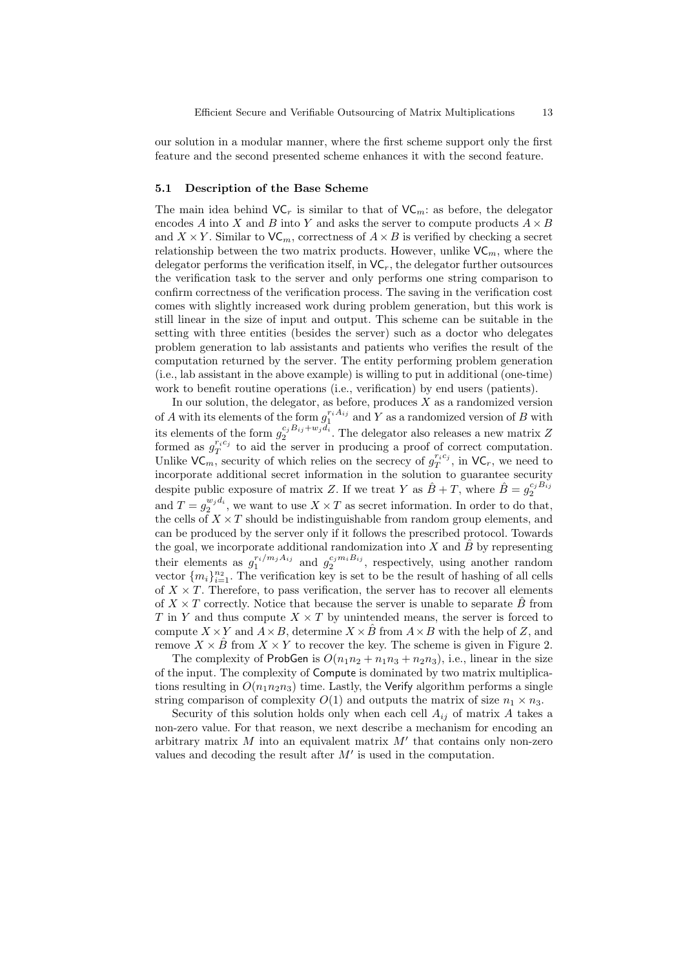our solution in a modular manner, where the first scheme support only the first feature and the second presented scheme enhances it with the second feature.

## 5.1 Description of the Base Scheme

The main idea behind  $\mathsf{VC}_r$  is similar to that of  $\mathsf{VC}_m$ : as before, the delegator encodes A into X and B into Y and asks the server to compute products  $A \times B$ and  $X \times Y$ . Similar to  $\mathsf{VC}_m$ , correctness of  $A \times B$  is verified by checking a secret relationship between the two matrix products. However, unlike  $\mathsf{VC}_m$ , where the delegator performs the verification itself, in  $VC_r$ , the delegator further outsources the verification task to the server and only performs one string comparison to confirm correctness of the verification process. The saving in the verification cost comes with slightly increased work during problem generation, but this work is still linear in the size of input and output. This scheme can be suitable in the setting with three entities (besides the server) such as a doctor who delegates problem generation to lab assistants and patients who verifies the result of the computation returned by the server. The entity performing problem generation (i.e., lab assistant in the above example) is willing to put in additional (one-time) work to benefit routine operations (i.e., verification) by end users (patients).

In our solution, the delegator, as before, produces  $X$  as a randomized version of A with its elements of the form  $g_1^{r_i A_{ij}}$  and Y as a randomized version of B with its elements of the form  $g_2^{c_j B_{ij} + w_j d_i}$ . The delegator also releases a new matrix Z formed as  $g_T^{r_i c_j}$  to aid the server in producing a proof of correct computation. Unlike  $VC_{m}$ , security of which relies on the secrecy of  $g_T^{r_ic_j}$ , in  $VC_r$ , we need to incorporate additional secret information in the solution to guarantee security despite public exposure of matrix Z. If we treat Y as  $\hat{B} + T$ , where  $\hat{B} = g_2^{c_j B_{ij}}$ and  $T = g_2^{w_j d_i}$ , we want to use  $X \times T$  as secret information. In order to do that, the cells of  $X \times T$  should be indistinguishable from random group elements, and can be produced by the server only if it follows the prescribed protocol. Towards the goal, we incorporate additional randomization into X and  $\hat{B}$  by representing their elements as  $g_1^{r_i/m_jA_{ij}}$  and  $g_2^{c_jm_iB_{ij}}$ , respectively, using another random vector  ${m_i}_{i=1}^{n_2}$ . The verification key is set to be the result of hashing of all cells of  $X \times T$ . Therefore, to pass verification, the server has to recover all elements of  $X \times T$  correctly. Notice that because the server is unable to separate  $\hat{B}$  from T in Y and thus compute  $X \times T$  by unintended means, the server is forced to compute  $X \times Y$  and  $A \times B$ , determine  $X \times \hat{B}$  from  $A \times B$  with the help of Z, and remove  $X \times \hat{B}$  from  $X \times Y$  to recover the key. The scheme is given in Figure 2.

The complexity of ProbGen is  $O(n_1n_2 + n_1n_3 + n_2n_3)$ , i.e., linear in the size of the input. The complexity of Compute is dominated by two matrix multiplications resulting in  $O(n_1n_2n_3)$  time. Lastly, the Verify algorithm performs a single string comparison of complexity  $O(1)$  and outputs the matrix of size  $n_1 \times n_3$ .

Security of this solution holds only when each cell  $A_{ij}$  of matrix A takes a non-zero value. For that reason, we next describe a mechanism for encoding an arbitrary matrix  $M$  into an equivalent matrix  $M'$  that contains only non-zero values and decoding the result after  $M'$  is used in the computation.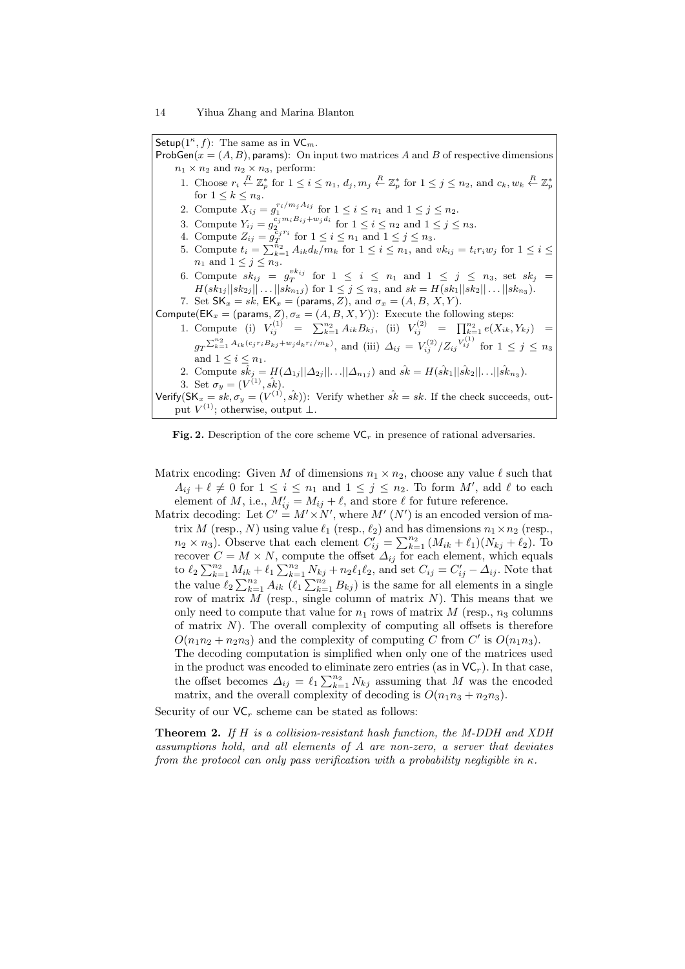Setup $(1^{\kappa}, f)$ : The same as in  $\mathsf{VC}_m$ .

ProbGen( $x = (A, B)$ , params): On input two matrices A and B of respective dimensions  $n_1 \times n_2$  and  $n_2 \times n_3$ , perform:

- 1. Choose  $r_i \stackrel{R}{\leftarrow} \mathbb{Z}_p^*$  for  $1 \leq i \leq n_1$ ,  $d_j, m_j \stackrel{R}{\leftarrow} \mathbb{Z}_p^*$  for  $1 \leq j \leq n_2$ , and  $c_k, w_k \stackrel{R}{\leftarrow} \mathbb{Z}_p^*$ for  $1 \leq k \leq n_3$ .
- 2. Compute  $X_{ij} = g_1^{r_i/m_j A_{ij}}$  for  $1 \le i \le n_1$  and  $1 \le j \le n_2$ .
- 3. Compute  $Y_{ij} = g_2^{c_j m_i B_{ij} + w_j d_i}$  for  $1 \leq i \leq n_2$  and  $1 \leq j \leq n_3$ .
- 4. Compute  $Z_{ij} = g_T^{c_j r_i}$  for  $1 \leq i \leq n_1$  and  $1 \leq j \leq n_3$ .
- 5. Compute  $t_i = \sum_{k=1}^{\bar{n}_2} A_{ik} d_k / m_k$  for  $1 \leq i \leq n_1$ , and  $vk_{ij} = t_i r_i w_j$  for  $1 \leq i \leq n$  $n_1$  and  $1 \leq j \leq n_3$ .
- 6. Compute  $sk_{ij} = g_T^{v k_{ij}}$  for  $1 \leq i \leq n_1$  and  $1 \leq j \leq n_3$ , set  $sk_j =$  $H(sk_{1j}||sk_{2j}|| \dots ||sk_{n_1j})$  for  $1 \leq j \leq n_3$ , and  $sk = H(sk_1||sk_2|| \dots ||sk_{n_3})$ . 7. Set  $SK_x = sk$ ,  $EK_x = (params, Z)$ , and  $\sigma_x = (A, B, X, Y)$ .

Compute(EK<sub>x</sub> = (params, Z),  $\sigma_x = (A, B, X, Y)$ ): Execute the following steps:

1. Compute (i)  $V_{ij}^{(1)} = \sum_{k=1}^{n_2} A_{ik} B_{kj}$ , (ii)  $V_{ij}^{(2)} = \prod_{k=1}^{n_2} e(X_{ik}, Y_{kj}) =$  $g_T \sum_{k=1}^{n_2} A_{ik}(c_j r_i B_{kj} + w_j d_k r_i/m_k)$ , and (iii)  $\Delta_{ij} = V_{ij}^{(2)}/Z_{ij} V_{ij}^{(1)}$  for  $1 \le j \le n_3$ and  $1 \leq i \leq n_1$ .

2. Compute  $s\hat{k}_j = H(\Delta_{1j}||\Delta_{2j}||\ldots||\Delta_{n_1j})$  and  $s\hat{k} = H(\hat{sk}_1||\hat{sk}_2||\ldots||\hat{sk}_{n_3})$ .

3. Set 
$$
\sigma_y = (V^{(1)}, \hat{sk})
$$
.  
Verify(SK<sub>x</sub> = sk,  $\sigma_y = (V^{(1)}, \hat{sk})$ ): Verify whether  $\hat{sk} = sk$ . If the check succeeds, out-

put 
$$
V^{(1)}
$$
; otherwise, output  $\perp$ .

Fig. 2. Description of the core scheme  $\mathsf{VC}_r$  in presence of rational adversaries.

- Matrix encoding: Given M of dimensions  $n_1 \times n_2$ , choose any value  $\ell$  such that  $A_{ij} + \ell \neq 0$  for  $1 \leq i \leq n_1$  and  $1 \leq j \leq n_2$ . To form M', add  $\ell$  to each element of M, i.e.,  $M'_{ij} = M_{ij} + \ell$ , and store  $\ell$  for future reference.
- Matrix decoding: Let  $C' = M' \times N'$ , where  $M'(N')$  is an encoded version of matrix M (resp., N) using value  $\ell_1$  (resp.,  $\ell_2$ ) and has dimensions  $n_1 \times n_2$  (resp.,  $n_2 \times n_3$ ). Observe that each element  $C'_{ij} = \sum_{k=1}^{n_2} (M_{ik} + \ell_1)(N_{kj} + \ell_2)$ . To recover  $C = M \times N$ , compute the offset  $\Delta_{ij}$  for each element, which equals to  $\ell_2 \sum_{k=1}^{n_2} M_{ik} + \ell_1 \sum_{k=1}^{n_2} N_{kj} + n_2 \ell_1 \ell_2$ , and set  $C_{ij} = C'_{ij} - \Delta_{ij}$ . Note that the value  $\ell_2 \sum_{k=1}^{n_2} A_{ik} (\ell_1 \sum_{k=1}^{n_2} B_{kj})$  is the same for all elements in a single row of matrix  $\overline{M}$  (resp., single column of matrix  $N$ ). This means that we only need to compute that value for  $n_1$  rows of matrix M (resp.,  $n_3$  columns of matrix  $N$ ). The overall complexity of computing all offsets is therefore  $O(n_1n_2 + n_2n_3)$  and the complexity of computing C from C' is  $O(n_1n_3)$ . The decoding computation is simplified when only one of the matrices used

in the product was encoded to eliminate zero entries (as in  $VC_r$ ). In that case, the offset becomes  $\Delta_{ij} = \ell_1 \sum_{k=1}^{n_2} N_{kj}$  assuming that M was the encoded matrix, and the overall complexity of decoding is  $O(n_1n_3 + n_2n_3)$ .

Security of our  $\mathsf{VC}_r$  scheme can be stated as follows:

Theorem 2. If H is a collision-resistant hash function, the M-DDH and XDH assumptions hold, and all elements of A are non-zero, a server that deviates from the protocol can only pass verification with a probability negligible in  $\kappa$ .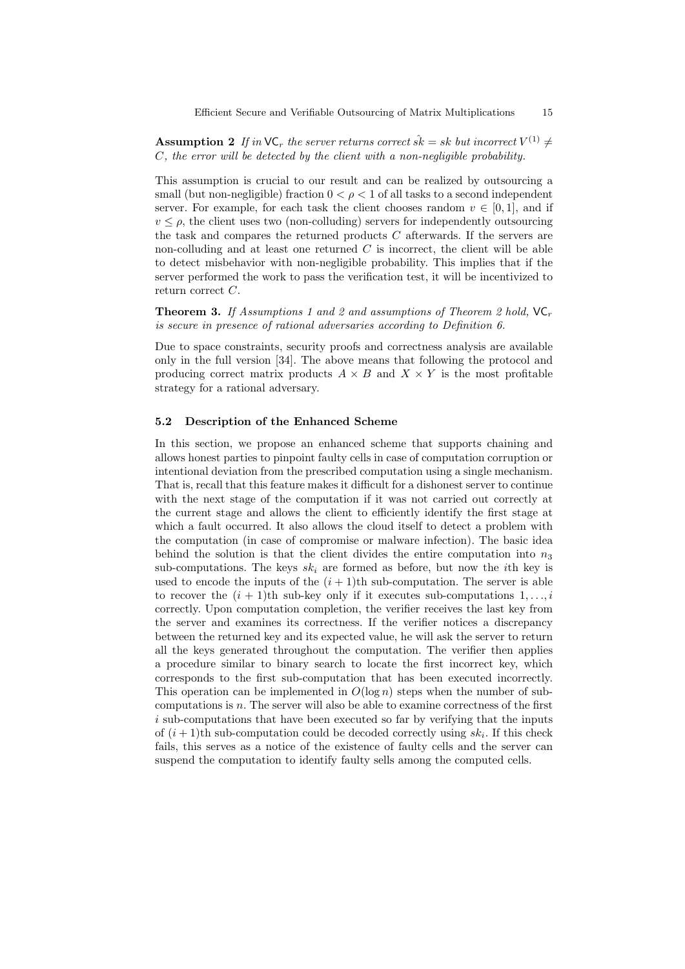**Assumption 2** If in  $VC_r$  the server returns correct  $\hat{sk} = sk$  but incorrect  $V^{(1)} \neq$ C, the error will be detected by the client with a non-negligible probability.

This assumption is crucial to our result and can be realized by outsourcing a small (but non-negligible) fraction  $0 < \rho < 1$  of all tasks to a second independent server. For example, for each task the client chooses random  $v \in [0,1]$ , and if  $v \leq \rho$ , the client uses two (non-colluding) servers for independently outsourcing the task and compares the returned products  $C$  afterwards. If the servers are non-colluding and at least one returned  $C$  is incorrect, the client will be able to detect misbehavior with non-negligible probability. This implies that if the server performed the work to pass the verification test, it will be incentivized to return correct C.

**Theorem 3.** If Assumptions 1 and 2 and assumptions of Theorem 2 hold,  $VC_r$ is secure in presence of rational adversaries according to Definition 6.

Due to space constraints, security proofs and correctness analysis are available only in the full version [34]. The above means that following the protocol and producing correct matrix products  $A \times B$  and  $X \times Y$  is the most profitable strategy for a rational adversary.

#### 5.2 Description of the Enhanced Scheme

In this section, we propose an enhanced scheme that supports chaining and allows honest parties to pinpoint faulty cells in case of computation corruption or intentional deviation from the prescribed computation using a single mechanism. That is, recall that this feature makes it difficult for a dishonest server to continue with the next stage of the computation if it was not carried out correctly at the current stage and allows the client to efficiently identify the first stage at which a fault occurred. It also allows the cloud itself to detect a problem with the computation (in case of compromise or malware infection). The basic idea behind the solution is that the client divides the entire computation into  $n_3$ sub-computations. The keys  $sk_i$  are formed as before, but now the *i*th key is used to encode the inputs of the  $(i + 1)$ th sub-computation. The server is able to recover the  $(i + 1)$ th sub-key only if it executes sub-computations  $1, \ldots, i$ correctly. Upon computation completion, the verifier receives the last key from the server and examines its correctness. If the verifier notices a discrepancy between the returned key and its expected value, he will ask the server to return all the keys generated throughout the computation. The verifier then applies a procedure similar to binary search to locate the first incorrect key, which corresponds to the first sub-computation that has been executed incorrectly. This operation can be implemented in  $O(\log n)$  steps when the number of subcomputations is n. The server will also be able to examine correctness of the first  $i$  sub-computations that have been executed so far by verifying that the inputs of  $(i + 1)$ th sub-computation could be decoded correctly using  $sk_i$ . If this check fails, this serves as a notice of the existence of faulty cells and the server can suspend the computation to identify faulty sells among the computed cells.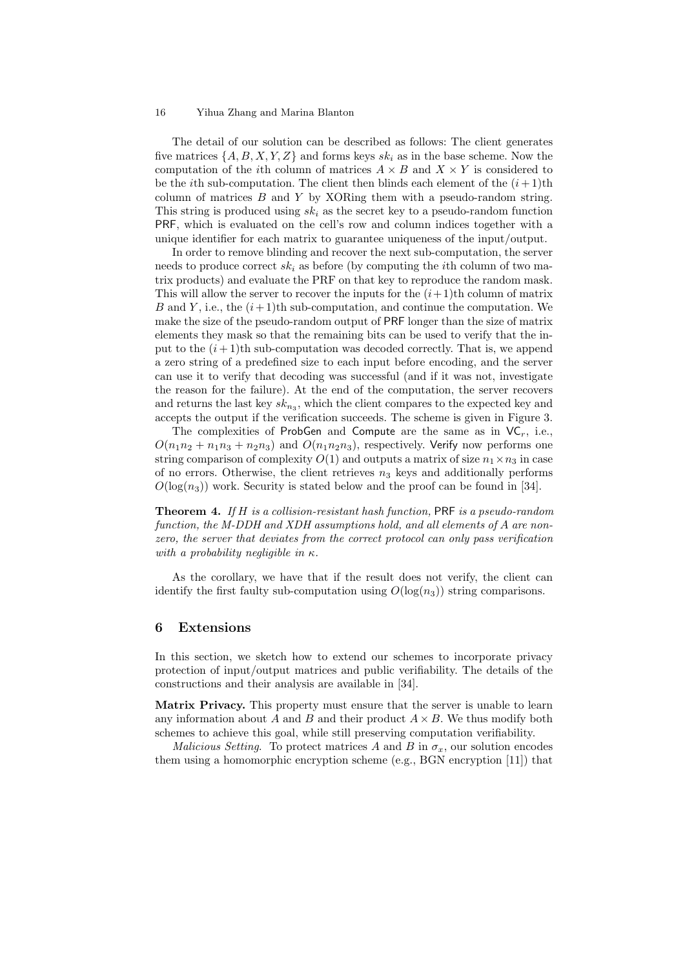The detail of our solution can be described as follows: The client generates five matrices  $\{A, B, X, Y, Z\}$  and forms keys  $sk_i$  as in the base scheme. Now the computation of the *i*th column of matrices  $A \times B$  and  $X \times Y$  is considered to be the *i*th sub-computation. The client then blinds each element of the  $(i+1)$ th column of matrices  $B$  and  $Y$  by XORing them with a pseudo-random string. This string is produced using  $sk_i$  as the secret key to a pseudo-random function PRF, which is evaluated on the cell's row and column indices together with a unique identifier for each matrix to guarantee uniqueness of the input/output.

In order to remove blinding and recover the next sub-computation, the server needs to produce correct  $sk_i$  as before (by computing the *i*th column of two matrix products) and evaluate the PRF on that key to reproduce the random mask. This will allow the server to recover the inputs for the  $(i+1)$ th column of matrix B and Y, i.e., the  $(i+1)$ th sub-computation, and continue the computation. We make the size of the pseudo-random output of PRF longer than the size of matrix elements they mask so that the remaining bits can be used to verify that the input to the  $(i+1)$ th sub-computation was decoded correctly. That is, we append a zero string of a predefined size to each input before encoding, and the server can use it to verify that decoding was successful (and if it was not, investigate the reason for the failure). At the end of the computation, the server recovers and returns the last key  $sk_{n_3}$ , which the client compares to the expected key and accepts the output if the verification succeeds. The scheme is given in Figure 3.

The complexities of ProbGen and Compute are the same as in  $VC_r$ , i.e.,  $O(n_1n_2 + n_1n_3 + n_2n_3)$  and  $O(n_1n_2n_3)$ , respectively. Verify now performs one string comparison of complexity  $O(1)$  and outputs a matrix of size  $n_1 \times n_3$  in case of no errors. Otherwise, the client retrieves  $n_3$  keys and additionally performs  $O(\log(n_3))$  work. Security is stated below and the proof can be found in [34].

**Theorem 4.** If  $H$  is a collision-resistant hash function, PRF is a pseudo-random function, the M-DDH and XDH assumptions hold, and all elements of A are nonzero, the server that deviates from the correct protocol can only pass verification with a probability negligible in  $\kappa$ .

As the corollary, we have that if the result does not verify, the client can identify the first faulty sub-computation using  $O(\log(n_3))$  string comparisons.

## 6 Extensions

In this section, we sketch how to extend our schemes to incorporate privacy protection of input/output matrices and public verifiability. The details of the constructions and their analysis are available in [34].

Matrix Privacy. This property must ensure that the server is unable to learn any information about A and B and their product  $A \times B$ . We thus modify both schemes to achieve this goal, while still preserving computation verifiability.

Malicious Setting. To protect matrices A and B in  $\sigma_x$ , our solution encodes them using a homomorphic encryption scheme (e.g., BGN encryption [11]) that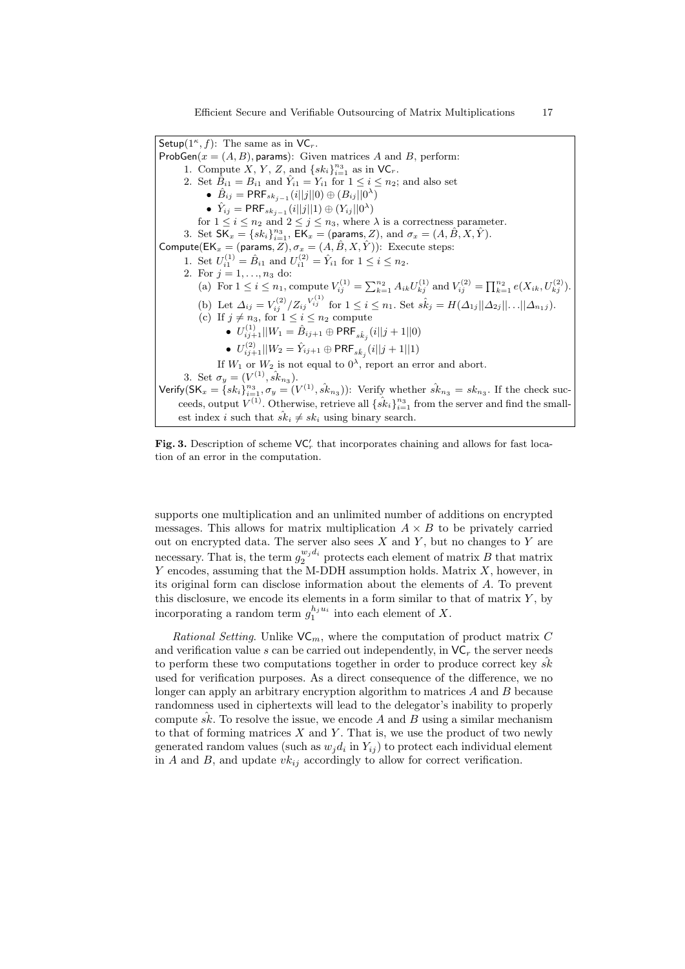Setup $(1^{\kappa}, f)$ : The same as in VC<sub>r</sub>. ProbGen( $x = (A, B)$ , params): Given matrices A and B, perform: 1. Compute X, Y, Z, and  $\{sk_i\}_{i=1}^{n_3}$  as in  $\mathsf{VC}_r$ . 2. Set  $\hat{B}_{i1} = B_{i1}$  and  $\hat{Y}_{i1} = Y_{i1}$  for  $1 \leq i \leq n_2$ ; and also set •  $\hat{B}_{ij} = \mathsf{PRF}_{sk_{j-1}}(i||j||0) \oplus (B_{ij}||0^{\lambda})$ •  $\hat{Y}_{ij} = \mathsf{PRF}_{sk_{j-1}}(i||j||1) \oplus (Y_{ij}||0^{\lambda})$ for  $1 \leq i \leq n_2$  and  $2 \leq j \leq n_3$ , where  $\lambda$  is a correctness parameter. 3. Set  $\mathsf{SK}_x = \{sk_i\}_{i=1}^{n_3}$ ,  $\mathsf{EK}_x = (\mathsf{params}, Z)$ , and  $\sigma_x = (A, \hat{B}, X, \hat{Y})$ . Compute(EK<sub>x</sub> = (params, Z),  $\sigma_x = (A, \hat{B}, X, \hat{Y})$ ): Execute steps: 1. Set  $U_{i1}^{(1)} = \hat{B}_{i1}$  and  $U_{i1}^{(2)} = \hat{Y}_{i1}$  for  $1 \le i \le n_2$ . 2. For  $j = 1, ..., n_3$  do: (a) For  $1 \le i \le n_1$ , compute  $V_{ij}^{(1)} = \sum_{k=1}^{n_2} A_{ik} U_{kj}^{(1)}$  and  $V_{ij}^{(2)} = \prod_{k=1}^{n_2} e(X_{ik}, U_{kj}^{(2)})$ . (b) Let  $\Delta_{ij} = V_{ij}^{(2)}/Z_{ij} V_{ij}^{(1)}$  for  $1 \le i \le n_1$ . Set  $s\hat{k}_j = H(\Delta_{1j} || \Delta_{2j} || \ldots || \Delta_{n_1j}).$ (c) If  $j \neq n_3$ , for  $1 \leq i \leq n_2$  compute  $\bullet \ \ U^{(1)}_{ij+1}||W_1 = \hat{B}_{ij+1} \oplus \mathsf{PRF}_{s\hat{k}_j}(i||j+1||0)$ •  $U_{ij+1}^{(2)}||W_2 = \hat{Y}_{ij+1} \oplus \text{PRF}_{s\hat{k}_j}(i||j+1||1)$ If  $W_1$  or  $W_2$  is not equal to  $0^{\lambda}$ , report an error and abort. 3. Set  $\sigma_y = (V^{(1)}, \hat{sk}_{n_3}).$ Verify(SK<sub>x</sub> = {sk<sub>i</sub>}<sup>n<sub>3</sup></sub><sub>i=1</sub>,  $\sigma_y = (V^{(1)}, \hat{sk}_{n_3})$ ): Verify whether  $\hat{sk}_{n_3} = sk_{n_3}$ . If the check suc-</sup> ceeds, output  $V^{(1)}$ . Otherwise, retrieve all  $\{\hat{sk}_i\}_{i=1}^{n_3}$  from the server and find the smallest index i such that  $s\hat{k}_i \neq sk_i$  using binary search.

Fig. 3. Description of scheme  $VC'_r$  that incorporates chaining and allows for fast location of an error in the computation.

supports one multiplication and an unlimited number of additions on encrypted messages. This allows for matrix multiplication  $A \times B$  to be privately carried out on encrypted data. The server also sees  $X$  and  $Y$ , but no changes to  $Y$  are necessary. That is, the term  $g_2^{w_j d_i}$  protects each element of matrix B that matrix  $Y$  encodes, assuming that the M-DDH assumption holds. Matrix  $X$ , however, in its original form can disclose information about the elements of A. To prevent this disclosure, we encode its elements in a form similar to that of matrix  $Y$ , by incorporating a random term  $g_1^{h_j u_i}$  into each element of X.

Rational Setting. Unlike  $VC_m$ , where the computation of product matrix C and verification value s can be carried out independently, in  $\mathsf{VC}_r$  the server needs to perform these two computations together in order to produce correct key  $sk$ used for verification purposes. As a direct consequence of the difference, we no longer can apply an arbitrary encryption algorithm to matrices  $A$  and  $B$  because randomness used in ciphertexts will lead to the delegator's inability to properly compute  $sk$ . To resolve the issue, we encode A and B using a similar mechanism to that of forming matrices  $X$  and  $Y$ . That is, we use the product of two newly generated random values (such as  $w_j d_i$  in  $Y_{ij}$ ) to protect each individual element in A and B, and update  $vk_{ij}$  accordingly to allow for correct verification.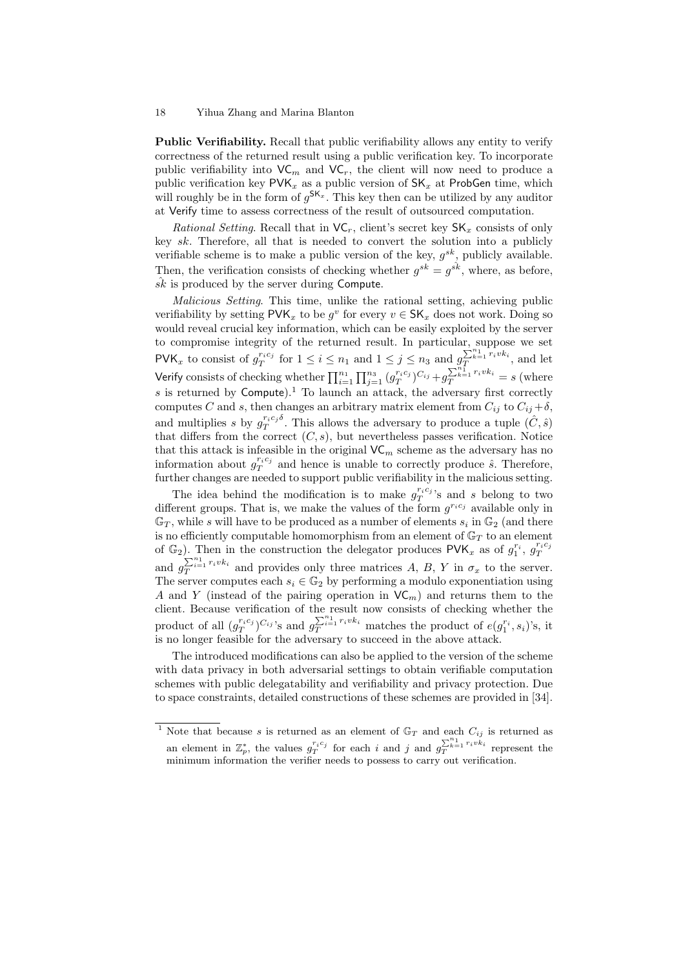Public Verifiability. Recall that public verifiability allows any entity to verify correctness of the returned result using a public verification key. To incorporate public verifiability into  $\mathsf{VC}_m$  and  $\mathsf{VC}_r$ , the client will now need to produce a public verification key  $PVK_x$  as a public version of  $SK_x$  at ProbGen time, which will roughly be in the form of  $g^{SK_x}$ . This key then can be utilized by any auditor at Verify time to assess correctness of the result of outsourced computation.

Rational Setting. Recall that in  $\mathsf{VC}_r$ , client's secret key  $\mathsf{SK}_x$  consists of only key sk. Therefore, all that is needed to convert the solution into a publicly verifiable scheme is to make a public version of the key,  $g^{sk}$ , publicly available. Then, the verification consists of checking whether  $g^{sk} = g^{\hat{sk}}$ , where, as before,  $s\hat{k}$  is produced by the server during Compute.

Malicious Setting. This time, unlike the rational setting, achieving public verifiability by setting  $\mathsf{PVK}_x$  to be  $g^v$  for every  $v \in \mathsf{SK}_x$  does not work. Doing so would reveal crucial key information, which can be easily exploited by the server to compromise integrity of the returned result. In particular, suppose we set PVK<sub>x</sub> to consist of  $g_T^{r_ic_j}$  for  $1 \le i \le n_1$  and  $1 \le j \le n_3$  and  $g_T^{\sum_{k=1}^{n_1} r_i v k_i}$ , and let Verify consists of checking whether  $\prod_{i=1}^{n_1} \prod_{j=1}^{n_3} (g_T^{r_ic_j})^{C_{ij}} + g_T^{\sum_{k=1}^{n_1^2} r_i v k_i} = s$  (where  $s$  is returned by Compute).<sup>1</sup> To launch an attack, the adversary first correctly computes C and s, then changes an arbitrary matrix element from  $C_{ij}$  to  $C_{ij} + \delta$ , and multiplies s by  $g_T^{r_i c_j \delta}$ . This allows the adversary to produce a tuple  $(\hat{C}, \hat{s})$ that differs from the correct  $(C, s)$ , but nevertheless passes verification. Notice that this attack is infeasible in the original  $\mathsf{VC}_m$  scheme as the adversary has no information about  $g_T^{r_ic_j}$  and hence is unable to correctly produce  $\hat{s}$ . Therefore, further changes are needed to support public verifiability in the malicious setting.

The idea behind the modification is to make  $g_T^{r_i c_j}$ 's and s belong to two different groups. That is, we make the values of the form  $g^{r_ic_j}$  available only in  $\mathbb{G}_T$ , while s will have to be produced as a number of elements  $s_i$  in  $\mathbb{G}_2$  (and there is no efficiently computable homomorphism from an element of  $\mathbb{G}_T$  to an element of  $\mathbb{G}_2$ ). Then in the construction the delegator produces PVK<sub>x</sub> as of  $g_1^{r_i}, g_T^{r_i c_j}$ and  $g_T^{\sum_{i=1}^{n_1} r_i v k_i}$  and provides only three matrices A, B, Y in  $\sigma_x$  to the server. The server computes each  $s_i \in \mathbb{G}_2$  by performing a modulo exponentiation using A and Y (instead of the pairing operation in  $VC_m$ ) and returns them to the client. Because verification of the result now consists of checking whether the product of all  $(g_T^{r_ic_j})^{C_{ij}}$ 's and  $g_T^{\sum_{i=1}^{n_1} r_i v k_i}$  matches the product of  $e(g_1^{r_i}, s_i)$ 's, it is no longer feasible for the adversary to succeed in the above attack.

The introduced modifications can also be applied to the version of the scheme with data privacy in both adversarial settings to obtain verifiable computation schemes with public delegatability and verifiability and privacy protection. Due to space constraints, detailed constructions of these schemes are provided in [34].

<sup>&</sup>lt;sup>1</sup> Note that because s is returned as an element of  $\mathbb{G}_T$  and each  $C_{ij}$  is returned as an element in  $\mathbb{Z}_p^*$ , the values  $g_T^{r_ic_j}$  for each i and j and  $g_T^{\sum_{k=1}^{n_1} r_i v k_i}$  represent the minimum information the verifier needs to possess to carry out verification.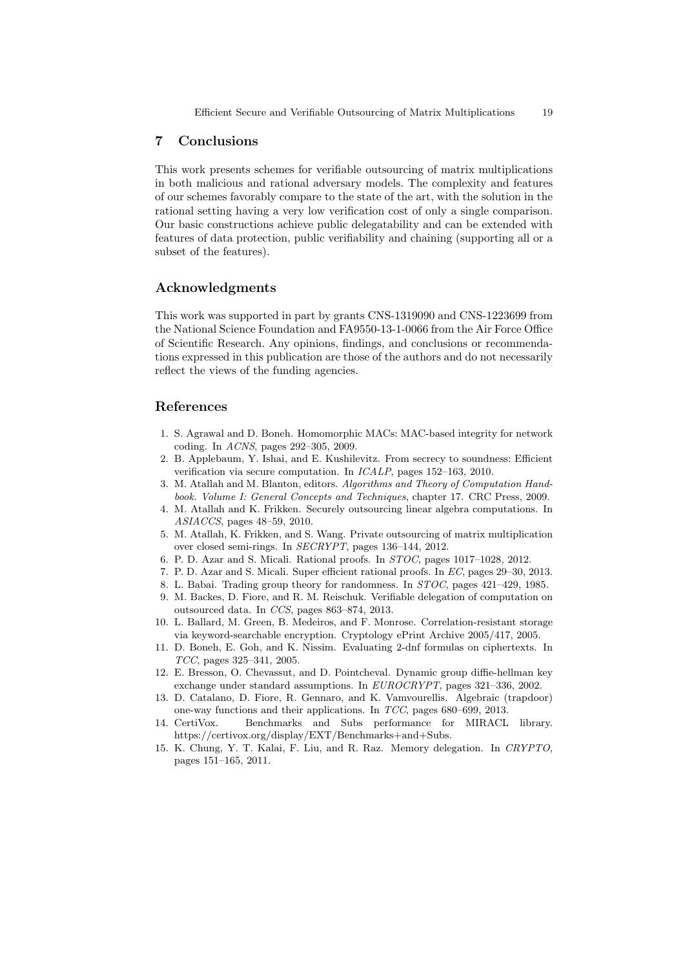# 7 Conclusions

This work presents schemes for verifiable outsourcing of matrix multiplications in both malicious and rational adversary models. The complexity and features of our schemes favorably compare to the state of the art, with the solution in the rational setting having a very low verification cost of only a single comparison. Our basic constructions achieve public delegatability and can be extended with features of data protection, public verifiability and chaining (supporting all or a subset of the features).

## Acknowledgments

This work was supported in part by grants CNS-1319090 and CNS-1223699 from the National Science Foundation and FA9550-13-1-0066 from the Air Force Office of Scientific Research. Any opinions, findings, and conclusions or recommendations expressed in this publication are those of the authors and do not necessarily reflect the views of the funding agencies.

## References

- 1. S. Agrawal and D. Boneh. Homomorphic MACs: MAC-based integrity for network coding. In ACNS, pages 292–305, 2009.
- 2. B. Applebaum, Y. Ishai, and E. Kushilevitz. From secrecy to soundness: Efficient verification via secure computation. In ICALP, pages 152–163, 2010.
- 3. M. Atallah and M. Blanton, editors. Algorithms and Theory of Computation Handbook. Volume I: General Concepts and Techniques, chapter 17. CRC Press, 2009.
- 4. M. Atallah and K. Frikken. Securely outsourcing linear algebra computations. In ASIACCS, pages 48–59, 2010.
- 5. M. Atallah, K. Frikken, and S. Wang. Private outsourcing of matrix multiplication over closed semi-rings. In SECRYPT, pages 136–144, 2012.
- 6. P. D. Azar and S. Micali. Rational proofs. In STOC, pages 1017–1028, 2012.
- 7. P. D. Azar and S. Micali. Super efficient rational proofs. In EC, pages 29–30, 2013.
- 8. L. Babai. Trading group theory for randomness. In STOC, pages 421–429, 1985.
- 9. M. Backes, D. Fiore, and R. M. Reischuk. Verifiable delegation of computation on outsourced data. In CCS, pages 863–874, 2013.
- 10. L. Ballard, M. Green, B. Medeiros, and F. Monrose. Correlation-resistant storage via keyword-searchable encryption. Cryptology ePrint Archive 2005/417, 2005.
- 11. D. Boneh, E. Goh, and K. Nissim. Evaluating 2-dnf formulas on ciphertexts. In TCC, pages 325–341, 2005.
- 12. E. Bresson, O. Chevassut, and D. Pointcheval. Dynamic group diffie-hellman key exchange under standard assumptions. In EUROCRYPT, pages 321–336, 2002.
- 13. D. Catalano, D. Fiore, R. Gennaro, and K. Vamvourellis. Algebraic (trapdoor) one-way functions and their applications. In TCC, pages 680–699, 2013.
- 14. CertiVox. Benchmarks and Subs performance for MIRACL library. https://certivox.org/display/EXT/Benchmarks+and+Subs.
- 15. K. Chung, Y. T. Kalai, F. Liu, and R. Raz. Memory delegation. In CRYPTO, pages 151–165, 2011.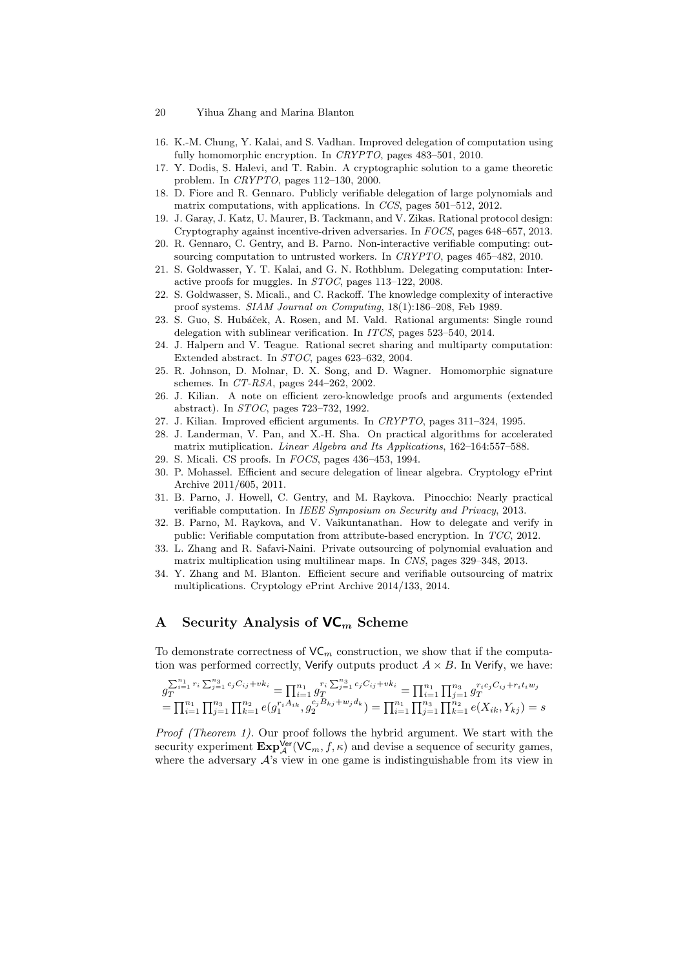- 16. K.-M. Chung, Y. Kalai, and S. Vadhan. Improved delegation of computation using fully homomorphic encryption. In *CRYPTO*, pages 483–501, 2010.
- 17. Y. Dodis, S. Halevi, and T. Rabin. A cryptographic solution to a game theoretic problem. In CRYPTO, pages 112–130, 2000.
- 18. D. Fiore and R. Gennaro. Publicly verifiable delegation of large polynomials and matrix computations, with applications. In CCS, pages 501–512, 2012.
- 19. J. Garay, J. Katz, U. Maurer, B. Tackmann, and V. Zikas. Rational protocol design: Cryptography against incentive-driven adversaries. In FOCS, pages 648–657, 2013.
- 20. R. Gennaro, C. Gentry, and B. Parno. Non-interactive verifiable computing: outsourcing computation to untrusted workers. In CRYPTO, pages 465–482, 2010.
- 21. S. Goldwasser, Y. T. Kalai, and G. N. Rothblum. Delegating computation: Interactive proofs for muggles. In STOC, pages 113–122, 2008.
- 22. S. Goldwasser, S. Micali., and C. Rackoff. The knowledge complexity of interactive proof systems. SIAM Journal on Computing, 18(1):186–208, Feb 1989.
- 23. S. Guo, S. Hubáček, A. Rosen, and M. Vald. Rational arguments: Single round delegation with sublinear verification. In ITCS, pages 523–540, 2014.
- 24. J. Halpern and V. Teague. Rational secret sharing and multiparty computation: Extended abstract. In STOC, pages 623–632, 2004.
- 25. R. Johnson, D. Molnar, D. X. Song, and D. Wagner. Homomorphic signature schemes. In CT-RSA, pages 244–262, 2002.
- 26. J. Kilian. A note on efficient zero-knowledge proofs and arguments (extended abstract). In STOC, pages 723–732, 1992.
- 27. J. Kilian. Improved efficient arguments. In CRYPTO, pages 311–324, 1995.
- 28. J. Landerman, V. Pan, and X.-H. Sha. On practical algorithms for accelerated matrix mutiplication. Linear Algebra and Its Applications, 162–164:557–588.
- 29. S. Micali. CS proofs. In FOCS, pages 436–453, 1994.
- 30. P. Mohassel. Efficient and secure delegation of linear algebra. Cryptology ePrint Archive 2011/605, 2011.
- 31. B. Parno, J. Howell, C. Gentry, and M. Raykova. Pinocchio: Nearly practical verifiable computation. In IEEE Symposium on Security and Privacy, 2013.
- 32. B. Parno, M. Raykova, and V. Vaikuntanathan. How to delegate and verify in public: Verifiable computation from attribute-based encryption. In TCC, 2012.
- 33. L. Zhang and R. Safavi-Naini. Private outsourcing of polynomial evaluation and matrix multiplication using multilinear maps. In CNS, pages 329–348, 2013.
- 34. Y. Zhang and M. Blanton. Efficient secure and verifiable outsourcing of matrix multiplications. Cryptology ePrint Archive 2014/133, 2014.

# A Security Analysis of  $VC_m$  Scheme

To demonstrate correctness of  $VC_m$  construction, we show that if the computation was performed correctly, Verify outputs product  $A \times B$ . In Verify, we have:

$$
\begin{aligned}\n\mathcal{G}_T^{n_1} r_i \sum_{j=1}^{n_3} c_j C_{ij} + v k_i \\
= \prod_{i=1}^{n_1} \mathcal{G}_T^{r_i} \sum_{j=1}^{n_3} c_j C_{ij} + v k_i \\
= \prod_{i=1}^{n_1} \prod_{j=1}^{n_3} \mathcal{G}_T^{r_i} C_{ij} + v k_i \\
= \prod_{i=1}^{n_1} \prod_{j=1}^{n_3} \mathcal{G}_T^{r_i} C_{ij} + v k_i \\
= \prod_{i=1}^{n_1} \prod_{j=1}^{n_3} \prod_{k=1}^{n_2} e(X_{ik}, Y_{kj}) = s\n\end{aligned}
$$

Proof (Theorem 1). Our proof follows the hybrid argument. We start with the security experiment  $\text{Exp}_{\mathcal{A}}^{\text{Ver}}(\text{VC}_m, f, \kappa)$  and devise a sequence of security games, where the adversary  $A$ 's view in one game is indistinguishable from its view in